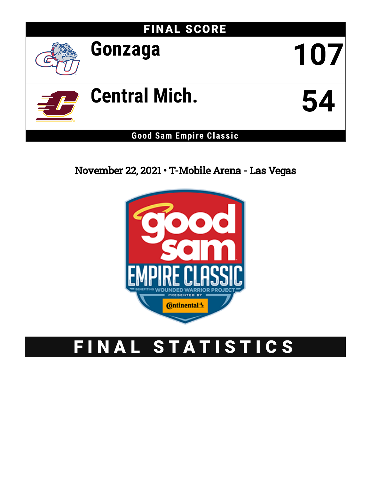# FINAL SCORE **Gonzaga 107 Central Mich. 54 Good Sam Empire Clas s ic**

## November 22, 2021 • T-Mobile Arena - Las Vegas



## FINAL STATISTICS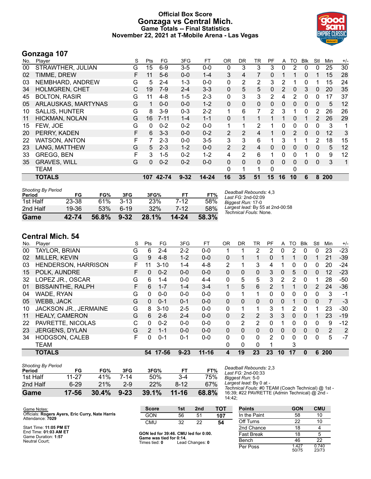#### **Official Box Score Gonzaga vs Central Mich. Game Totals -- Final Statistics November 22, 2021 at T-Mobile Arena - Las Vegas**



#### **Gonzaga 107**

| No. | Player                | S | Pts      | FG       | 3FG      | FT        | OR.            | <b>DR</b>      | TR             | PF              | A            | TO       | <b>Blk</b> | Stl          | Min | $+/-$ |
|-----|-----------------------|---|----------|----------|----------|-----------|----------------|----------------|----------------|-----------------|--------------|----------|------------|--------------|-----|-------|
| 00  | STRAWTHER, JULIAN     | G | 15       | $6-9$    | $3-5$    | $0-0$     | 0              | 3              | 3              | 3               | 0            | 2        | 0          | 0            | 25  | 30    |
| 02  | TIMME, DREW           | F | 11       | $5-6$    | $0 - 0$  | $1 - 4$   | 3              | 4              | 7              | 0               |              |          | 0          |              | 15  | 28    |
| 03  | NEMBHARD, ANDREW      | G | 5        | $2 - 4$  | $1 - 3$  | $0 - 0$   | 0              | 2              | 2              | 3               | 2            |          | 0          |              | 15  | 24    |
| 34  | <b>HOLMGREN, CHET</b> | C | 19       | $7-9$    | $2 - 4$  | $3 - 3$   | $\mathbf{0}$   | 5              | 5              | 0               | 2            | 0        | 3          | $\mathbf{0}$ | 20  | 35    |
| 45  | <b>BOLTON, RASIR</b>  | G | 11       | $4 - 8$  | $1 - 5$  | $2 - 3$   | 0              | 3              | 3              | 2               | 4            | 2        | 0          | 0            | 17  | 37    |
| 05  | ARLAUSKAS, MARTYNAS   | G |          | $0 - 0$  | $0 - 0$  | $1 - 2$   | 0              | $\mathbf{0}$   | 0              | 0               | 0            | 0        | 0          | $\mathbf{0}$ | 5   | 12    |
| 10  | <b>SALLIS, HUNTER</b> | G | 8        | $3-9$    | $0 - 3$  | $2 - 2$   | 1              | 6              | 7              | 2               | 3            |          | 0          | 2            | 26  | 26    |
| 11  | HICKMAN, NOLAN        | G | 16       | $7 - 11$ | $1 - 4$  | $1 - 1$   | $\Omega$       |                | 1              |                 |              | $\Omega$ | 1          | 2            | 26  | 29    |
| 15  | FEW, JOE              | G | 0        | $0 - 2$  | $0 - 2$  | $0 - 0$   | 1              |                | 2              |                 | 0            | 0        | 0          | 0            | 3   | 1     |
| 20  | PERRY, KADEN          | F | 6        | $3 - 3$  | $0 - 0$  | $0 - 2$   | $\overline{2}$ | $\overline{2}$ | $\overline{4}$ |                 | $\mathbf{0}$ | 2        | 0          | 0            | 12  | 3     |
| 22  | <b>WATSON, ANTON</b>  | F |          | $2 - 3$  | $0 - 0$  | $3-5$     | 3              | 3              | 6              |                 | 3            |          |            | 2            | 18  | 15    |
| 23  | LANG, MATTHEW         | G | 5        | $2 - 3$  | $1 - 2$  | $0 - 0$   | 2              | 2              | 4              | 0               | 0            | 0        | 0          | 0            | 5   | 12    |
| 33  | <b>GREGG, BEN</b>     | F | 3        | $1-5$    | $0 - 2$  | $1 - 2$   | 4              | 2              | 6              |                 | 0            | 0        |            | $\Omega$     | 9   | 12    |
| 35  | <b>GRAVES, WILL</b>   | G | $\Omega$ | $0 - 2$  | $0 - 2$  | $0 - 0$   | $\Omega$       | $\Omega$       | $\Omega$       | $\Omega$        | $\Omega$     | $\Omega$ | $\Omega$   | $\mathbf{0}$ | 3   | 1     |
|     | TEAM                  |   |          |          |          |           | 0              | 1              | 1              | 0               |              | 0        |            |              |     |       |
|     | <b>TOTALS</b>         |   | 107      | 42-74    | $9 - 32$ | $14 - 24$ | 16             | 35             | 51             | 15 <sub>2</sub> | 16           | 10       | 6          | 8            | 200 |       |

| Game                                | 42-74 | 56.8% | $9 - 32$ | 28.1%      | $14 - 24$ | 58.3% |                                                            |
|-------------------------------------|-------|-------|----------|------------|-----------|-------|------------------------------------------------------------|
| 2nd Half                            | 19-36 | 53%   | $6-19$   | 32%        | $7 - 12$  | 58%   | Largest lead: By 55 at 2nd-00:58<br>Technical Fouls: None. |
| 1st Half                            | 23-38 | 61%   | $3-13$   | <b>23%</b> | 7-12      | 58%   | Biggest Run: 17-0                                          |
| <b>Shooting By Period</b><br>Period | FG    | FG%   | 3FG      | 3FG%       | FТ        | FT%   | Deadball Rebounds: 4,3<br>Last FG: 2nd-02:09               |

### **Central Mich. 54**

|     | VGIILIUI IIIVIII VT      |    |               |          |          |           |              |    |                |          |              |    |              |          |     |                |
|-----|--------------------------|----|---------------|----------|----------|-----------|--------------|----|----------------|----------|--------------|----|--------------|----------|-----|----------------|
| No. | Player                   | S  | <b>Pts</b>    | FG       | 3FG      | FT        | <b>OR</b>    | DR | TR             | PF       | A            | то | <b>B</b> lk  | Stl      | Min | $+/-$          |
| 00  | TAYLOR, BRIAN            | G  | 6             | $2 - 4$  | $2 - 2$  | $0 - 0$   |              |    | 2              | 2        | 0            | 2  | 0            | 0        | 23  | $-23$          |
| 02  | <b>MILLER, KEVIN</b>     | G  | 9             | $4 - 8$  | $1 - 2$  | $0 - 0$   | $\mathbf{0}$ |    |                | 0        | 1            |    | $\Omega$     |          | 21  | $-39$          |
| 03  | HENDERSON, HARRISON      | F. |               | $3 - 10$ | 1-4      | $4 - 8$   | 2            | 1  | 3              | 4        | 1            | 0  | 0            | 0        | 20  | $-24$          |
| 15  | POLK, AUNDRE             | F. | 0             | $0 - 2$  | $0 - 0$  | $0 - 0$   | $\mathbf{0}$ | 0  | $\Omega$       | 3        | 0            | 5  | $\mathbf{0}$ | 0        | 12  | $-23$          |
| 32  | LOPEZ JR., OSCAR         | G  | 6             | $1 - 4$  | $0 - 0$  | $4 - 4$   | $\mathbf{0}$ | 5  | 5              | 3        | 2            | 2  | $\Omega$     |          | 28  | $-50$          |
| 01  | <b>BISSAINTHE, RALPH</b> | F. | 6             | $1 - 7$  | $1 - 4$  | $3 - 4$   | 1.           | 5  | 6              | 2        |              |    | $\Omega$     | 2        | 24  | $-36$          |
| 04  | WADE, RYAN               | G  | 0             | $0-0$    | $0 - 0$  | $0 - 0$   | $\mathbf{0}$ | 1  | $\mathbf 1$    | 0        | 0            | 0  | 0            | 0        | 3   | $-1$           |
| 05  | WEBB, JACK               | G  | 0             | $0 - 1$  | $0 - 1$  | $0 - 0$   | $\mathbf{0}$ | 0  | $\Omega$       | $\Omega$ | $\mathbf{0}$ |    | $\Omega$     | $\Omega$ | 7   | $-3$           |
| 10  | JACKSON JR., JERMAINE    | G  | 8             | $3 - 10$ | $2 - 5$  | $0 - 0$   | $\mathbf{0}$ | 1  | 1              | 3        | 1            | 2  | 0            |          | 23  | $-30$          |
| 11  | <b>HEALY, CAMERON</b>    | G  | 6.            | $2 - 6$  | $2 - 4$  | $0 - 0$   | $\mathbf{0}$ | 2  | $\overline{2}$ | 3        | 3            | 0  | $\Omega$     | 1        | 23  | $-19$          |
| 22  | PAVRETTE, NICOLAS        | С  | 0             | $0 - 2$  | $0 - 0$  | $0-0$     | 0            | 2  | $\overline{2}$ | 0        | 1            | 0  | 0            | 0        | 9   | $-12$          |
| 23  | <b>JERGENS, DYLAN</b>    | G  | $\mathcal{P}$ | $1 - 1$  | $0 - 0$  | $0 - 0$   | $\mathbf{0}$ | 0  | $\mathbf{0}$   | $\Omega$ | 0            | 0  | $\Omega$     | $\Omega$ | 2   | $\overline{2}$ |
| 34  | <b>HODGSON, CALEB</b>    | F  | 0             | $0 - 1$  | $0 - 1$  | $0 - 0$   | 0            | 0  | 0              | 2        | $\Omega$     | 0  | 0            | 0        | 5   | $-7$           |
|     | <b>TEAM</b>              |    |               |          |          |           | 0            | 0  | $\Omega$       |          |              | 3  |              |          |     |                |
|     | <b>TOTALS</b>            |    | 54            | 17-56    | $9 - 23$ | $11 - 16$ | 4            | 19 | 23             | 23       | 10           | 17 | 0            | 6        | 200 |                |
|     |                          |    |               |          |          |           |              |    |                |          |              |    |              |          |     |                |

| Game                                | 17-56    | 30.4% | $9 - 23$ | 39.1% | 11-16  | 68.8% |
|-------------------------------------|----------|-------|----------|-------|--------|-------|
| 2nd Half                            | $6 - 29$ | 21%   | $2-9$    | 22%   | $8-12$ | 67%   |
| 1st Half                            | 11-27    | 41%   | 7-14     | 50%   | 3-4    | 75%   |
| <b>Shooting By Period</b><br>Period | FG       | FG%   | 3FG      | 3FG%  | FТ     | FT%   |

*Deadball Rebounds:* 2,3 *Last FG:* 2nd-00:33

*Biggest Run:* 5-0

*Largest lead:* By 0 at -

*Technical Fouls:* #0 TEAM (Coach Technical) @ 1st - 16:39; #22 PAVRETTE (Admin Technical) @ 2nd - 14:42;

| Game Notes:                                                          | <b>Score</b>                             | 1st | 2 <sub>nd</sub> | TOT | <b>Points</b>     | <b>GON</b>     | <b>CMU</b>     |
|----------------------------------------------------------------------|------------------------------------------|-----|-----------------|-----|-------------------|----------------|----------------|
| Officials: Rogers Ayers, Eric Curry, Nate Harris<br>Attendance: 7029 | <b>GON</b>                               | 56  | 51              | 107 | In the Paint      | 58             | 10             |
|                                                                      | <b>CMU</b>                               | 32  | 22              | 54  | Off Turns         | 22             | 10             |
| Start Time: 11:05 PM ET                                              |                                          |     |                 |     | 2nd Chance        | 18             |                |
| End Time: 01:03 AM ET<br>Game Duration: 1:57                         | GON led for 39:46. CMU led for 0:00.     |     |                 |     | <b>Fast Break</b> | 18             |                |
| Neutral Court:                                                       | Game was tied for 0:14.<br>Times tied: 0 |     | Lead Changes: 0 |     | Bench             | 46             | 22             |
|                                                                      |                                          |     |                 |     | Per Poss          | 1.427<br>50/75 | 0.740<br>23/73 |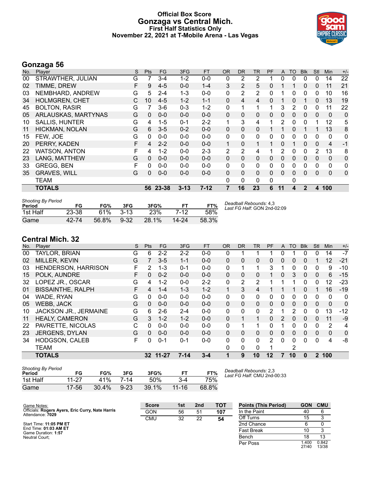#### **Official Box Score Gonzaga vs Central Mich. First Half Statistics Only November 22, 2021 at T-Mobile Arena - Las Vegas**



#### **Gonzaga 56**

| No. | Player                | S | <b>Pts</b>   | <b>FG</b> | 3FG      | <b>FT</b> | <b>OR</b> | <b>DR</b>    | TR           | PF           | A            | <b>TO</b>    | <b>Blk</b>   | Stl          | <b>Min</b>   | $+/-$ |
|-----|-----------------------|---|--------------|-----------|----------|-----------|-----------|--------------|--------------|--------------|--------------|--------------|--------------|--------------|--------------|-------|
| 00  | STRAWTHER, JULIAN     | G |              | $3 - 4$   | $1 - 2$  | $0 - 0$   | 0         | 2            | 2            |              | 0            | 0            | $\Omega$     | 0            | 14           | 22    |
| 02  | TIMME, DREW           | F | 9            | $4 - 5$   | $0 - 0$  | $1 - 4$   | 3         | 2            | 5            | 0            |              |              | $\Omega$     | $\mathbf{0}$ | 11           | 21    |
| 03  | NEMBHARD, ANDREW      | G | 5            | $2 - 4$   | 1-3      | $0 - 0$   | 0         | 2            | 2            | 0            |              | 0            | 0            | 0            | 10           | 16    |
| 34  | <b>HOLMGREN, CHET</b> | С | 10           | $4 - 5$   | $1 - 2$  | $1 - 1$   | 0         | 4            | 4            | $\Omega$     |              | 0            |              | $\Omega$     | 13           | 19    |
| 45  | <b>BOLTON, RASIR</b>  | G |              | $3-6$     | $0 - 3$  | $1 - 2$   | 0         | 1            | 1            | 1            | 3            | 2            | $\Omega$     | 0            | 11           | 22    |
| 05  | ARLAUSKAS, MARTYNAS   | G | $\Omega$     | $0 - 0$   | $0 - 0$  | $0-0$     | 0         | $\mathbf 0$  | $\mathbf 0$  | 0            | 0            | 0            | 0            | 0            | 0            | 0     |
| 10  | SALLIS, HUNTER        | G | 4            | $1 - 5$   | $0 - 1$  | $2 - 2$   | 1         | 3            | 4            |              | 2            | 0            | $\Omega$     | 1            | 12           | 5     |
| 11  | HICKMAN, NOLAN        | G | 6            | $3 - 5$   | $0 - 2$  | $0 - 0$   | 0         | $\mathbf{0}$ | $\mathbf{0}$ | 1.           |              | 0            |              |              | 13           | 8     |
| 15  | FEW, JOE              | G | 0            | $0 - 0$   | $0 - 0$  | $0 - 0$   | 0         | $\mathbf{0}$ | 0            | $\Omega$     | 0            | 0            | $\Omega$     | 0            | 0            | 0     |
| 20  | PERRY, KADEN          | F | 4            | $2 - 2$   | $0 - 0$  | $0 - 0$   | 1         | $\mathbf{0}$ | 1            |              | 0            |              | $\Omega$     | $\Omega$     | 4            | $-1$  |
| 22  | <b>WATSON, ANTON</b>  | F | 4            | $1 - 2$   | $0-0$    | $2 - 3$   | 2         | 2            | 4            |              | 2            | 0            | 0            | 2            | 13           | 8     |
| 23  | LANG, MATTHEW         | G | $\Omega$     | $0 - 0$   | $0 - 0$  | $0 - 0$   | 0         | $\mathbf{0}$ | $\mathbf{0}$ | 0            | $\mathbf{0}$ | $\mathbf{0}$ | $\Omega$     | 0            | $\mathbf{0}$ | 0     |
| 33  | <b>GREGG, BEN</b>     |   | 0            | $0 - 0$   | $0-0$    | $0 - 0$   | 0         | 0            | $\mathbf{0}$ | 0            | 0            | 0            | 0            | 0            | 0            | 0     |
| 35  | <b>GRAVES, WILL</b>   | G | $\mathbf{0}$ | $0 - 0$   | $0 - 0$  | $0 - 0$   | 0         | $\mathbf{0}$ | $\mathbf{0}$ | 0            | 0            | 0            | 0            | 0            | $\Omega$     | 0     |
|     | <b>TEAM</b>           |   |              |           |          |           | 0         | $\mathbf{0}$ | 0            | $\mathbf{0}$ |              | 0            |              |              |              |       |
|     | <b>TOTALS</b>         |   |              | 56 23-38  | $3 - 13$ | $7 - 12$  | 7         | 16           | 23           | 6            | 11           | 4            | $\mathbf{2}$ | 4            | 100          |       |
|     |                       |   |              |           |          |           |           |              |              |              |              |              |              |              |              |       |

| <b>Shooting By Period</b><br>Period | FG    | FG%   | 3FG      | 3FG%  |           | FT%   | Deadball Rebounds: 4,3<br>Last FG Half: GON 2nd-02:09 |
|-------------------------------------|-------|-------|----------|-------|-----------|-------|-------------------------------------------------------|
| 1st Half                            | 23-38 | 61%   | $3-13$   | 23%   | 7-12      | 58%   |                                                       |
| Game                                | 42-74 | 56.8% | $9 - 32$ | 28.1% | $14 - 24$ | 58.3% |                                                       |

#### **Central Mich. 32**

| No. | Player                   | S | <b>Pts</b> | <b>FG</b> | 3FG      | <b>FT</b> | 0R           | DR       | TR           | PF                    | A        | TO | <b>B</b> lk  | Stl      | Min          | $+/-$       |
|-----|--------------------------|---|------------|-----------|----------|-----------|--------------|----------|--------------|-----------------------|----------|----|--------------|----------|--------------|-------------|
| 00  | TAYLOR, BRIAN            | G | 6          | $2 - 2$   | $2 - 2$  | $0 - 0$   | 0            |          |              |                       | 0        |    | 0            | 0        | 14           | $-7$        |
| 02  | MILLER, KEVIN            | G |            | $3 - 5$   | $1 - 1$  | $0 - 0$   | $\mathbf{0}$ | 0        | 0            | 0                     | 0        | 0  | 0            |          | 12           | $-21$       |
| 03  | HENDERSON, HARRISON      | F | 2          | $1 - 3$   | $0 - 1$  | $0 - 0$   | 0            |          | 1            | 3                     |          | 0  | $\Omega$     | 0        | 9            | $-10$       |
| 15  | POLK, AUNDRE             | F | 0          | $0 - 2$   | $0 - 0$  | $0 - 0$   | $\Omega$     | 0        | 0            |                       | 0        | 3  | $\mathbf{0}$ | $\Omega$ | 6            | $-15$       |
| 32  | LOPEZ JR., OSCAR         | G | 4          | $1 - 2$   | $0 - 0$  | $2 - 2$   | 0            | 2        | 2            |                       |          |    | $\Omega$     | $\Omega$ | 12           | $-23$       |
| 01  | <b>BISSAINTHE, RALPH</b> | F | 4          | $1 - 4$   | $1 - 3$  | $1 - 2$   |              | 3        | 4            |                       |          |    | 0            |          | 16           | $-19$       |
| 04  | WADE, RYAN               | G | 0          | $0 - 0$   | $0 - 0$  | $0 - 0$   | $\Omega$     | 0        | 0            | 0                     | $\Omega$ | 0  | $\Omega$     | 0        | $\Omega$     | 0           |
| 05  | <b>WEBB, JACK</b>        | G | 0          | $0 - 0$   | $0 - 0$  | $0 - 0$   | $\Omega$     | 0        | $\mathbf{0}$ | 0                     | $\Omega$ | 0  | 0            | $\Omega$ | $\mathbf{0}$ | 0           |
| 10  | JACKSON JR., JERMAINE    | G | 6          | $2-6$     | $2 - 4$  | $0 - 0$   | 0            | 0        | 0            | $\mathbf{2}^{\prime}$ |          | 2  | 0            | 0        | 13           | $-12$       |
| 11  | <b>HEALY, CAMERON</b>    | G | 3          | $1 - 2$   | $1 - 2$  | $0 - 0$   | $\Omega$     |          | 1            | 0                     | 2        | 0  | $\Omega$     | $\Omega$ | 11           | $-9$        |
| 22  | PAVRETTE, NICOLAS        | С | 0          | $0 - 0$   | $0 - 0$  | $0 - 0$   | 0            |          |              | 0                     |          | 0  | 0            | 0        | 2            | 4           |
| 23  | <b>JERGENS, DYLAN</b>    | G | 0          | $0 - 0$   | $0 - 0$  | $0 - 0$   | $\mathbf{0}$ | 0        | $\mathbf{0}$ | 0                     | 0        | 0  | $\mathbf{0}$ | 0        | 0            | $\mathbf 0$ |
| 34  | HODGSON, CALEB           | F | 0          | $0 - 1$   | $0 - 1$  | $0 - 0$   | 0            | 0        | 0            | 2                     | $\Omega$ | 0  | $\Omega$     | 0        | 4            | -8          |
|     | <b>TEAM</b>              |   |            |           |          |           | 0            | $\Omega$ | $\Omega$     |                       |          | 2  |              |          |              |             |
|     | <b>TOTALS</b>            |   |            | 32 11-27  | $7 - 14$ | $3 - 4$   |              | 9        | 10           | $12 \,$               |          | 10 | 0            |          | 2 100        |             |

| <b>Shooting By Period</b><br>Period | FG      | FG%   | 3FG      | 3FG%  | FТ        | FT%   |
|-------------------------------------|---------|-------|----------|-------|-----------|-------|
| 1st Half                            | $11-27$ | 41%   | 7-14     | 50%   | 3-4       | 75%   |
| Game                                | 17-56   | 30.4% | $9 - 23$ | 39.1% | $11 - 16$ | 68.8% |

*Deadball Rebounds:* 2,3 *Last FG Half:* CMU 2nd-00:33

| Game Notes:                                      | <b>Score</b> | 1st | 2 <sub>nd</sub> | <b>TOT</b> | <b>Points (This Period)</b> | <b>GON</b>      | <b>CMU</b>     |
|--------------------------------------------------|--------------|-----|-----------------|------------|-----------------------------|-----------------|----------------|
| Officials: Rogers Ayers, Eric Curry, Nate Harris | GON          | 56  | 51              | 107        | In the Paint                | 40              |                |
| Attendance: 7029                                 | <b>CMU</b>   | 32  | 22              | 54         | Off Turns                   | 15              |                |
| Start Time: 11:05 PM ET                          |              |     |                 |            | 2nd Chance                  |                 |                |
| End Time: 01:03 AM ET<br>Game Duration: 1:57     |              |     |                 |            | <b>Fast Break</b>           |                 |                |
| Neutral Court:                                   |              |     |                 |            | Bench                       | 18              | 13             |
|                                                  |              |     |                 |            | Per Poss                    | 400. ا<br>27/40 | 0.842<br>13/38 |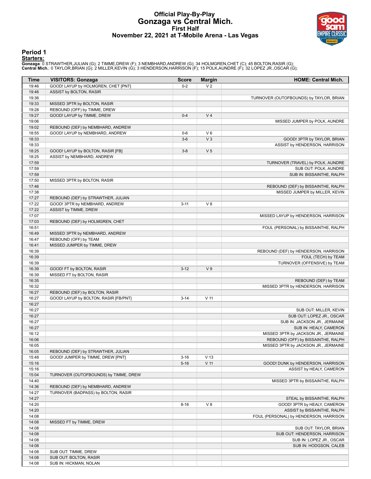#### **Official Play-By-Play Gonzaga vs Central Mich. First Half November 22, 2021 at T-Mobile Arena - Las Vegas**



#### **Period 1**

#### **Starters:**

Gonzaga: 0 STRAWTHER,JULIAN (G); 2 TIMME,DREW (F); 3 NEMBHARD,ANDREW (G); 34 HOLMGREN,CHET (C); 45 BOLTON,RASIR (G);<br>Central Mich.: 0 TAYLOR,BRIAN (G); 2 MILLER,KEVIN (G); 3 HENDERSON,HARRISON (F); 15 POLK,AUNDRE (F); 32 L

| <b>Time</b>    | <b>VISITORS: Gonzaga</b>                                 | <b>Score</b> | <b>Margin</b>        | <b>HOME: Central Mich.</b>                                            |
|----------------|----------------------------------------------------------|--------------|----------------------|-----------------------------------------------------------------------|
| 19:46          | GOOD! LAYUP by HOLMGREN, CHET [PNT]                      | $0 - 2$      | V <sub>2</sub>       |                                                                       |
| 19:46          | ASSIST by BOLTON, RASIR                                  |              |                      |                                                                       |
| 19:36          |                                                          |              |                      | TURNOVER (OUTOFBOUNDS) by TAYLOR, BRIAN                               |
| 19:33          | MISSED 3PTR by BOLTON, RASIR                             |              |                      |                                                                       |
| 19:28          | REBOUND (OFF) by TIMME, DREW                             |              |                      |                                                                       |
| 19:27          | GOOD! LAYUP by TIMME, DREW                               | $0 - 4$      | V <sub>4</sub>       |                                                                       |
| 19:06          |                                                          |              |                      | MISSED JUMPER by POLK, AUNDRE                                         |
| 19:02          | REBOUND (DEF) by NEMBHARD, ANDREW                        |              |                      |                                                                       |
| 18:55          | GOOD! LAYUP by NEMBHARD, ANDREW                          | $0-6$        | V6<br>V <sub>3</sub> |                                                                       |
| 18:33<br>18:33 |                                                          | $3-6$        |                      | GOOD! 3PTR by TAYLOR, BRIAN<br>ASSIST by HENDERSON, HARRISON          |
| 18:25          | GOOD! LAYUP by BOLTON, RASIR [FB]                        | $3 - 8$      | V <sub>5</sub>       |                                                                       |
| 18:25          | ASSIST by NEMBHARD, ANDREW                               |              |                      |                                                                       |
| 17:59          |                                                          |              |                      | TURNOVER (TRAVEL) by POLK, AUNDRE                                     |
| 17:59          |                                                          |              |                      | SUB OUT: POLK, AUNDRE                                                 |
| 17:59          |                                                          |              |                      | SUB IN: BISSAINTHE, RALPH                                             |
| 17:50          | MISSED 3PTR by BOLTON, RASIR                             |              |                      |                                                                       |
| 17:46          |                                                          |              |                      | REBOUND (DEF) by BISSAINTHE, RALPH                                    |
| 17:38          |                                                          |              |                      | MISSED JUMPER by MILLER, KEVIN                                        |
| 17:27          | REBOUND (DEF) by STRAWTHER, JULIAN                       |              |                      |                                                                       |
| 17:22          | GOOD! 3PTR by NEMBHARD, ANDREW                           | $3 - 11$     | V8                   |                                                                       |
| 17:22          | ASSIST by TIMME, DREW                                    |              |                      |                                                                       |
| 17:07          |                                                          |              |                      | MISSED LAYUP by HENDERSON, HARRISON                                   |
| 17:03          | REBOUND (DEF) by HOLMGREN, CHET                          |              |                      |                                                                       |
| 16:51          |                                                          |              |                      | FOUL (PERSONAL) by BISSAINTHE, RALPH                                  |
| 16:49<br>16:47 | MISSED 3PTR by NEMBHARD, ANDREW<br>REBOUND (OFF) by TEAM |              |                      |                                                                       |
| 16:41          | MISSED JUMPER by TIMME, DREW                             |              |                      |                                                                       |
| 16:39          |                                                          |              |                      | REBOUND (DEF) by HENDERSON, HARRISON                                  |
| 16:39          |                                                          |              |                      | FOUL (TECH) by TEAM                                                   |
| 16:39          |                                                          |              |                      | TURNOVER (OFFENSIVE) by TEAM                                          |
| 16:39          | GOOD! FT by BOLTON, RASIR                                | $3 - 12$     | V <sub>9</sub>       |                                                                       |
| 16:39          | MISSED FT by BOLTON, RASIR                               |              |                      |                                                                       |
| 16:35          |                                                          |              |                      | REBOUND (DEF) by TEAM                                                 |
| 16:32          |                                                          |              |                      | MISSED 3PTR by HENDERSON, HARRISON                                    |
| 16:27          | REBOUND (DEF) by BOLTON, RASIR                           |              |                      |                                                                       |
| 16:27          | GOOD! LAYUP by BOLTON, RASIR [FB/PNT]                    | $3 - 14$     | $V$ 11               |                                                                       |
| 16:27          |                                                          |              |                      |                                                                       |
| 16:27          |                                                          |              |                      | SUB OUT: MILLER, KEVIN                                                |
| 16:27          |                                                          |              |                      | SUB OUT: LOPEZ JR., OSCAR<br>SUB IN: JACKSON JR., JERMAINE            |
| 16:27<br>16:27 |                                                          |              |                      | SUB IN: HEALY, CAMERON                                                |
| 16:12          |                                                          |              |                      | MISSED 3PTR by JACKSON JR., JERMAINE                                  |
| 16:06          |                                                          |              |                      | REBOUND (OFF) by BISSAINTHE, RALPH                                    |
| 16:05          |                                                          |              |                      | MISSED 3PTR by JACKSON JR., JERMAINE                                  |
| 16:05          | REBOUND (DEF) by STRAWTHER, JULIAN                       |              |                      |                                                                       |
| 15:48          | GOOD! JUMPER by TIMME, DREW [PNT]                        | $3 - 16$     | V <sub>13</sub>      |                                                                       |
| 15:16          |                                                          | $5 - 16$     | $V$ 11               | GOOD! DUNK by HENDERSON, HARRISON                                     |
| 15:16          |                                                          |              |                      | ASSIST by HEALY, CAMERON                                              |
| 15:04          | TURNOVER (OUTOFBOUNDS) by TIMME, DREW                    |              |                      |                                                                       |
| 14:40          |                                                          |              |                      | MISSED 3PTR by BISSAINTHE, RALPH                                      |
| 14:36          | REBOUND (DEF) by NEMBHARD, ANDREW                        |              |                      |                                                                       |
| 14:27          | TURNOVER (BADPASS) by BOLTON, RASIR                      |              |                      |                                                                       |
| 14:27          |                                                          |              |                      | STEAL by BISSAINTHE, RALPH                                            |
| 14:20<br>14:20 |                                                          | $8 - 16$     | V8                   | GOOD! 3PTR by HEALY, CAMERON                                          |
| 14:08          |                                                          |              |                      | ASSIST by BISSAINTHE, RALPH<br>FOUL (PERSONAL) by HENDERSON, HARRISON |
| 14:08          | MISSED FT by TIMME, DREW                                 |              |                      |                                                                       |
| 14:08          |                                                          |              |                      | SUB OUT: TAYLOR, BRIAN                                                |
| 14:08          |                                                          |              |                      | SUB OUT: HENDERSON, HARRISON                                          |
| 14:08          |                                                          |              |                      | SUB IN: LOPEZ JR., OSCAR                                              |
| 14:08          |                                                          |              |                      | SUB IN: HODGSON, CALEB                                                |
| 14:08          | SUB OUT: TIMME, DREW                                     |              |                      |                                                                       |
| 14:08          | SUB OUT: BOLTON, RASIR                                   |              |                      |                                                                       |
| 14:08          | SUB IN: HICKMAN, NOLAN                                   |              |                      |                                                                       |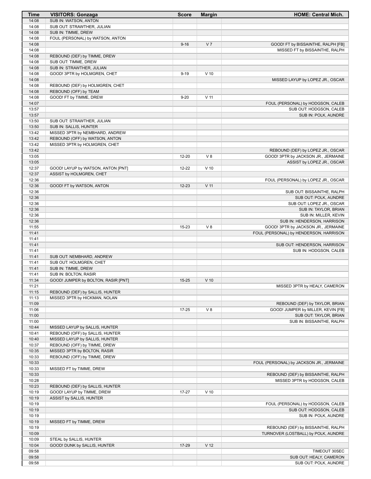| Time           | <b>VISITORS: Gonzaga</b>                                          | <b>Score</b> | <b>Margin</b>   | <b>HOME: Central Mich.</b>               |
|----------------|-------------------------------------------------------------------|--------------|-----------------|------------------------------------------|
| 14:08          | SUB IN: WATSON, ANTON                                             |              |                 |                                          |
| 14:08          | SUB OUT: STRAWTHER, JULIAN                                        |              |                 |                                          |
| 14:08<br>14:08 | SUB IN: TIMME, DREW<br>FOUL (PERSONAL) by WATSON, ANTON           |              |                 |                                          |
| 14:08          |                                                                   | $9 - 16$     | V <sub>7</sub>  | GOOD! FT by BISSAINTHE, RALPH [FB]       |
| 14:08          |                                                                   |              |                 | MISSED FT by BISSAINTHE, RALPH           |
| 14:08          | REBOUND (DEF) by TIMME, DREW                                      |              |                 |                                          |
| 14:08          | SUB OUT: TIMME, DREW                                              |              |                 |                                          |
| 14:08          | SUB IN: STRAWTHER, JULIAN                                         |              |                 |                                          |
| 14:08          | GOOD! 3PTR by HOLMGREN, CHET                                      | $9 - 19$     | $V$ 10          |                                          |
| 14:08          |                                                                   |              |                 | MISSED LAYUP by LOPEZ JR., OSCAR         |
| 14:08<br>14:08 | REBOUND (DEF) by HOLMGREN, CHET<br>REBOUND (OFF) by TEAM          |              |                 |                                          |
| 14:08          | GOOD! FT by TIMME, DREW                                           | $9 - 20$     | $V$ 11          |                                          |
| 14:07          |                                                                   |              |                 | FOUL (PERSONAL) by HODGSON, CALEB        |
| 13:57          |                                                                   |              |                 | SUB OUT: HODGSON, CALEB                  |
| 13:57          |                                                                   |              |                 | SUB IN: POLK, AUNDRE                     |
| 13:50          | SUB OUT: STRAWTHER, JULIAN                                        |              |                 |                                          |
| 13:50          | SUB IN: SALLIS, HUNTER                                            |              |                 |                                          |
| 13:42<br>13:42 | MISSED 3PTR by NEMBHARD, ANDREW<br>REBOUND (OFF) by WATSON, ANTON |              |                 |                                          |
| 13:42          | MISSED 3PTR by HOLMGREN, CHET                                     |              |                 |                                          |
| 13:42          |                                                                   |              |                 | REBOUND (DEF) by LOPEZ JR., OSCAR        |
| 13:05          |                                                                   | 12-20        | V8              | GOOD! 3PTR by JACKSON JR., JERMAINE      |
| 13:05          |                                                                   |              |                 | ASSIST by LOPEZ JR., OSCAR               |
| 12:37          | GOOD! LAYUP by WATSON, ANTON [PNT]                                | 12-22        | $V$ 10          |                                          |
| 12:37          | ASSIST by HOLMGREN, CHET                                          |              |                 |                                          |
| 12:36<br>12:36 |                                                                   | $12 - 23$    | $V$ 11          | FOUL (PERSONAL) by LOPEZ JR., OSCAR      |
| 12:36          | GOOD! FT by WATSON, ANTON                                         |              |                 | SUB OUT: BISSAINTHE, RALPH               |
| 12:36          |                                                                   |              |                 | SUB OUT: POLK, AUNDRE                    |
| 12:36          |                                                                   |              |                 | SUB OUT: LOPEZ JR., OSCAR                |
| 12:36          |                                                                   |              |                 | SUB IN: TAYLOR, BRIAN                    |
| 12:36          |                                                                   |              |                 | SUB IN: MILLER, KEVIN                    |
| 12:36          |                                                                   |              |                 | SUB IN: HENDERSON, HARRISON              |
| 11:55          |                                                                   | 15-23        | V8              | GOOD! 3PTR by JACKSON JR., JERMAINE      |
| 11:41<br>11:41 |                                                                   |              |                 | FOUL (PERSONAL) by HENDERSON, HARRISON   |
| 11:41          |                                                                   |              |                 | SUB OUT: HENDERSON, HARRISON             |
| 11:41          |                                                                   |              |                 | SUB IN: HODGSON, CALEB                   |
| 11:41          | SUB OUT: NEMBHARD, ANDREW                                         |              |                 |                                          |
| 11:41          | SUB OUT: HOLMGREN, CHET                                           |              |                 |                                          |
| 11:41          | SUB IN: TIMME, DREW                                               |              |                 |                                          |
| 11:41          | SUB IN: BOLTON, RASIR                                             |              |                 |                                          |
| 11:34<br>11:21 | GOOD! JUMPER by BOLTON, RASIR [PNT]                               | $15 - 25$    | $V$ 10          | MISSED 3PTR by HEALY, CAMERON            |
| 11:15          | REBOUND (DEF) by SALLIS, HUNTER                                   |              |                 |                                          |
| 11:13          | MISSED 3PTR by HICKMAN, NOLAN                                     |              |                 |                                          |
| 11:09          |                                                                   |              |                 | REBOUND (DEF) by TAYLOR, BRIAN           |
| 11:06          |                                                                   | 17-25        | V8              | GOOD! JUMPER by MILLER, KEVIN [FB]       |
| 11:00          |                                                                   |              |                 | SUB OUT: TAYLOR, BRIAN                   |
| 11:00          |                                                                   |              |                 | SUB IN: BISSAINTHE, RALPH                |
| 10:44          | MISSED LAYUP by SALLIS, HUNTER                                    |              |                 |                                          |
| 10:41<br>10:40 | REBOUND (OFF) by SALLIS, HUNTER<br>MISSED LAYUP by SALLIS, HUNTER |              |                 |                                          |
| 10:37          | REBOUND (OFF) by TIMME, DREW                                      |              |                 |                                          |
| 10:35          | MISSED 3PTR by BOLTON, RASIR                                      |              |                 |                                          |
| 10:33          | REBOUND (OFF) by TIMME, DREW                                      |              |                 |                                          |
| 10:33          |                                                                   |              |                 | FOUL (PERSONAL) by JACKSON JR., JERMAINE |
| 10:33          | MISSED FT by TIMME, DREW                                          |              |                 |                                          |
| 10:33          |                                                                   |              |                 | REBOUND (DEF) by BISSAINTHE, RALPH       |
| 10:28<br>10:23 | REBOUND (DEF) by SALLIS, HUNTER                                   |              |                 | MISSED 3PTR by HODGSON, CALEB            |
| 10:19          | GOOD! LAYUP by TIMME, DREW                                        | $17 - 27$    | $V$ 10          |                                          |
| 10:19          | ASSIST by SALLIS, HUNTER                                          |              |                 |                                          |
| 10:19          |                                                                   |              |                 | FOUL (PERSONAL) by HODGSON, CALEB        |
| 10:19          |                                                                   |              |                 | SUB OUT: HODGSON, CALEB                  |
| 10:19          |                                                                   |              |                 | SUB IN: POLK, AUNDRE                     |
| 10:19          | MISSED FT by TIMME, DREW                                          |              |                 |                                          |
| 10:19          |                                                                   |              |                 | REBOUND (DEF) by BISSAINTHE, RALPH       |
| 10:09<br>10:09 | STEAL by SALLIS, HUNTER                                           |              |                 | TURNOVER (LOSTBALL) by POLK, AUNDRE      |
| 10:04          | GOOD! DUNK by SALLIS, HUNTER                                      | 17-29        | V <sub>12</sub> |                                          |
| 09:58          |                                                                   |              |                 | TIMEOUT 30SEC                            |
| 09:58          |                                                                   |              |                 | SUB OUT: HEALY, CAMERON                  |
| 09:58          |                                                                   |              |                 | SUB OUT: POLK, AUNDRE                    |
|                |                                                                   |              |                 |                                          |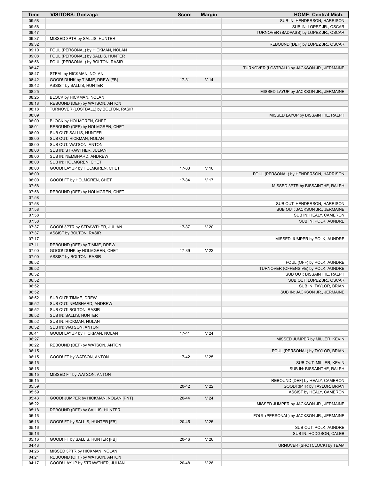| Time           | <b>VISITORS: Gonzaga</b>                                   | <b>Score</b> | <b>Margin</b>   | <b>HOME: Central Mich.</b>                   |
|----------------|------------------------------------------------------------|--------------|-----------------|----------------------------------------------|
| 09:58          |                                                            |              |                 | SUB IN: HENDERSON, HARRISON                  |
| 09:58          |                                                            |              |                 | SUB IN: LOPEZ JR., OSCAR                     |
| 09:47          |                                                            |              |                 | TURNOVER (BADPASS) by LOPEZ JR., OSCAR       |
| 09:37          | MISSED 3PTR by SALLIS, HUNTER                              |              |                 |                                              |
| 09:32          |                                                            |              |                 | REBOUND (DEF) by LOPEZ JR., OSCAR            |
| 09:10          | FOUL (PERSONAL) by HICKMAN, NOLAN                          |              |                 |                                              |
| 09:08          | FOUL (PERSONAL) by SALLIS, HUNTER                          |              |                 |                                              |
| 08:56          | FOUL (PERSONAL) by BOLTON, RASIR                           |              |                 |                                              |
| 08:47          |                                                            |              |                 | TURNOVER (LOSTBALL) by JACKSON JR., JERMAINE |
| 08:47          | STEAL by HICKMAN, NOLAN                                    |              |                 |                                              |
| 08:42          | GOOD! DUNK by TIMME, DREW [FB]                             | $17-31$      | V <sub>14</sub> |                                              |
| 08:42          | ASSIST by SALLIS, HUNTER                                   |              |                 |                                              |
| 08:25          |                                                            |              |                 | MISSED LAYUP by JACKSON JR., JERMAINE        |
| 08:25          | BLOCK by HICKMAN, NOLAN                                    |              |                 |                                              |
| 08:18          | REBOUND (DEF) by WATSON, ANTON                             |              |                 |                                              |
| 08:18          | TURNOVER (LOSTBALL) by BOLTON, RASIR                       |              |                 |                                              |
| 08:09          |                                                            |              |                 | MISSED LAYUP by BISSAINTHE, RALPH            |
| 08:09          | BLOCK by HOLMGREN, CHET                                    |              |                 |                                              |
| 08:01          | REBOUND (DEF) by HOLMGREN, CHET<br>SUB OUT: SALLIS, HUNTER |              |                 |                                              |
| 08:00<br>08:00 | SUB OUT: HICKMAN, NOLAN                                    |              |                 |                                              |
| 08:00          | SUB OUT: WATSON, ANTON                                     |              |                 |                                              |
| 08:00          | SUB IN: STRAWTHER, JULIAN                                  |              |                 |                                              |
| 08:00          | SUB IN: NEMBHARD, ANDREW                                   |              |                 |                                              |
| 08:00          | SUB IN: HOLMGREN, CHET                                     |              |                 |                                              |
| 08:00          | GOOD! LAYUP by HOLMGREN, CHET                              | 17-33        | V <sub>16</sub> |                                              |
| 08:00          |                                                            |              |                 | FOUL (PERSONAL) by HENDERSON, HARRISON       |
| 08:00          | GOOD! FT by HOLMGREN, CHET                                 | 17-34        | V 17            |                                              |
| 07:58          |                                                            |              |                 | MISSED 3PTR by BISSAINTHE, RALPH             |
| 07:58          | REBOUND (DEF) by HOLMGREN, CHET                            |              |                 |                                              |
| 07:58          |                                                            |              |                 |                                              |
| 07:58          |                                                            |              |                 | SUB OUT: HENDERSON, HARRISON                 |
| 07:58          |                                                            |              |                 | SUB OUT: JACKSON JR., JERMAINE               |
| 07:58          |                                                            |              |                 | SUB IN: HEALY, CAMERON                       |
| 07:58          |                                                            |              |                 | SUB IN: POLK, AUNDRE                         |
| 07:37          | GOOD! 3PTR by STRAWTHER, JULIAN                            | 17-37        | V <sub>20</sub> |                                              |
| 07:37          | ASSIST by BOLTON, RASIR                                    |              |                 |                                              |
| 07:17          |                                                            |              |                 | MISSED JUMPER by POLK, AUNDRE                |
| 07:11          | REBOUND (DEF) by TIMME, DREW                               |              |                 |                                              |
| 07:00          | GOOD! DUNK by HOLMGREN, CHET                               | 17-39        | V <sub>22</sub> |                                              |
| 07:00          | ASSIST by BOLTON, RASIR                                    |              |                 |                                              |
| 06:52          |                                                            |              |                 | FOUL (OFF) by POLK, AUNDRE                   |
| 06:52          |                                                            |              |                 | TURNOVER (OFFENSIVE) by POLK, AUNDRE         |
| 06:52          |                                                            |              |                 | SUB OUT: BISSAINTHE, RALPH                   |
| 06:52          |                                                            |              |                 | SUB OUT: LOPEZ JR., OSCAR                    |
| 06:52          |                                                            |              |                 | SUB IN: TAYLOR, BRIAN                        |
| 06:52          |                                                            |              |                 | SUB IN: JACKSON JR., JERMAINE                |
| 06:52          | SUB OUT: TIMME, DREW                                       |              |                 |                                              |
| 06:52          | SUB OUT: NEMBHARD, ANDREW                                  |              |                 |                                              |
| 06:52          | SUB OUT: BOLTON, RASIR                                     |              |                 |                                              |
| 06:52          | SUB IN: SALLIS, HUNTER                                     |              |                 |                                              |
| 06:52          | SUB IN: HICKMAN, NOLAN                                     |              |                 |                                              |
| 06:52          | SUB IN: WATSON, ANTON                                      |              |                 |                                              |
| 06:41          | GOOD! LAYUP by HICKMAN, NOLAN                              | $17 - 41$    | V <sub>24</sub> |                                              |
| 06:27          |                                                            |              |                 | MISSED JUMPER by MILLER, KEVIN               |
| 06:22          | REBOUND (DEF) by WATSON, ANTON                             |              |                 |                                              |
| 06:15          |                                                            |              |                 | FOUL (PERSONAL) by TAYLOR, BRIAN             |
| 06:15          | GOOD! FT by WATSON, ANTON                                  | 17-42        | V <sub>25</sub> |                                              |
| 06:15          |                                                            |              |                 | SUB OUT: MILLER, KEVIN                       |
| 06:15          |                                                            |              |                 | SUB IN: BISSAINTHE, RALPH                    |
| 06:15          | MISSED FT by WATSON, ANTON                                 |              |                 |                                              |
| 06:15          |                                                            |              |                 | REBOUND (DEF) by HEALY, CAMERON              |
| 05:59          |                                                            | $20 - 42$    | V <sub>22</sub> | GOOD! 3PTR by TAYLOR, BRIAN                  |
| 05:59          |                                                            |              | V <sub>24</sub> | ASSIST by HEALY, CAMERON                     |
| 05:43<br>05:22 | GOOD! JUMPER by HICKMAN, NOLAN [PNT]                       | 20-44        |                 |                                              |
| 05:18          | REBOUND (DEF) by SALLIS, HUNTER                            |              |                 | MISSED JUMPER by JACKSON JR., JERMAINE       |
| 05:16          |                                                            |              |                 | FOUL (PERSONAL) by JACKSON JR., JERMAINE     |
| 05:16          | GOOD! FT by SALLIS, HUNTER [FB]                            | $20 - 45$    | V <sub>25</sub> |                                              |
| 05:16          |                                                            |              |                 | SUB OUT: POLK, AUNDRE                        |
| 05:16          |                                                            |              |                 | SUB IN: HODGSON, CALEB                       |
| 05:16          | GOOD! FT by SALLIS, HUNTER [FB]                            | 20-46        | V <sub>26</sub> |                                              |
| 04:43          |                                                            |              |                 | TURNOVER (SHOTCLOCK) by TEAM                 |
| 04:26          | MISSED 3PTR by HICKMAN, NOLAN                              |              |                 |                                              |
| 04:21          | REBOUND (OFF) by WATSON, ANTON                             |              |                 |                                              |
| 04:17          | GOOD! LAYUP by STRAWTHER, JULIAN                           | 20-48        | V <sub>28</sub> |                                              |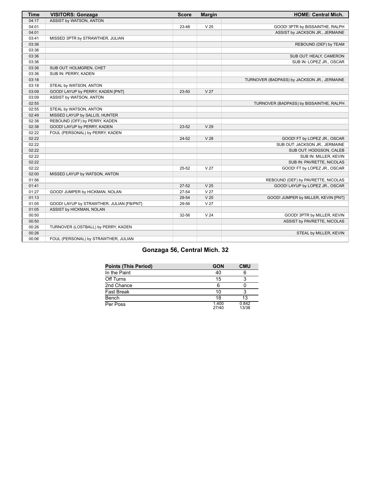| <b>Time</b> | <b>VISITORS: Gonzaga</b>                  | <b>Score</b> | <b>Margin</b>   | <b>HOME: Central Mich.</b>                  |
|-------------|-------------------------------------------|--------------|-----------------|---------------------------------------------|
| 04:17       | ASSIST by WATSON, ANTON                   |              |                 |                                             |
| 04:01       |                                           | 23-48        | V <sub>25</sub> | GOOD! 3PTR by BISSAINTHE, RALPH             |
| 04:01       |                                           |              |                 | ASSIST by JACKSON JR., JERMAINE             |
| 03:41       | MISSED 3PTR by STRAWTHER, JULIAN          |              |                 |                                             |
| 03:36       |                                           |              |                 | REBOUND (DEF) by TEAM                       |
| 03:36       |                                           |              |                 |                                             |
| 03:36       |                                           |              |                 | SUB OUT: HEALY, CAMERON                     |
| 03:36       |                                           |              |                 | SUB IN: LOPEZ JR., OSCAR                    |
| 03:36       | SUB OUT: HOLMGREN, CHET                   |              |                 |                                             |
| 03:36       | SUB IN: PERRY, KADEN                      |              |                 |                                             |
| 03:18       |                                           |              |                 | TURNOVER (BADPASS) by JACKSON JR., JERMAINE |
| 03:18       | STEAL by WATSON, ANTON                    |              |                 |                                             |
| 03:09       | GOOD! LAYUP by PERRY, KADEN [PNT]         | 23-50        | V <sub>27</sub> |                                             |
| 03:09       | ASSIST by WATSON, ANTON                   |              |                 |                                             |
| 02:55       |                                           |              |                 | TURNOVER (BADPASS) by BISSAINTHE, RALPH     |
| 02:55       | STEAL by WATSON, ANTON                    |              |                 |                                             |
| 02:49       | MISSED LAYUP by SALLIS, HUNTER            |              |                 |                                             |
| 02:38       | REBOUND (OFF) by PERRY, KADEN             |              |                 |                                             |
| 02:38       | GOOD! LAYUP by PERRY, KADEN               | 23-52        | V <sub>29</sub> |                                             |
| 02:22       | FOUL (PERSONAL) by PERRY, KADEN           |              |                 |                                             |
| 02:22       |                                           | 24-52        | V <sub>28</sub> | GOOD! FT by LOPEZ JR., OSCAR                |
| 02:22       |                                           |              |                 | SUB OUT: JACKSON JR., JERMAINE              |
| 02:22       |                                           |              |                 | SUB OUT: HODGSON, CALEB                     |
| 02:22       |                                           |              |                 | SUB IN: MILLER, KEVIN                       |
| 02:22       |                                           |              |                 | SUB IN: PAVRETTE, NICOLAS                   |
| 02:22       |                                           | $25 - 52$    | V <sub>27</sub> | GOOD! FT by LOPEZ JR., OSCAR                |
| 02:00       | MISSED LAYUP by WATSON, ANTON             |              |                 |                                             |
| 01:56       |                                           |              |                 | REBOUND (DEF) by PAVRETTE, NICOLAS          |
| 01:41       |                                           | $27 - 52$    | V <sub>25</sub> | GOOD! LAYUP by LOPEZ JR., OSCAR             |
| 01:27       | GOOD! JUMPER by HICKMAN, NOLAN            | 27-54        | V <sub>27</sub> |                                             |
| 01:13       |                                           | 29-54        | V <sub>25</sub> | GOOD! JUMPER by MILLER, KEVIN [PNT]         |
| 01:05       | GOOD! LAYUP by STRAWTHER, JULIAN [FB/PNT] | 29-56        | V <sub>27</sub> |                                             |
| 01:05       | ASSIST by HICKMAN, NOLAN                  |              |                 |                                             |
| 00:50       |                                           | 32-56        | V <sub>24</sub> | GOOD! 3PTR by MILLER, KEVIN                 |
| 00:50       |                                           |              |                 | ASSIST by PAVRETTE, NICOLAS                 |
| 00:26       | TURNOVER (LOSTBALL) by PERRY, KADEN       |              |                 |                                             |
| 00:26       |                                           |              |                 | STEAL by MILLER, KEVIN                      |
| 00:06       | FOUL (PERSONAL) by STRAWTHER, JULIAN      |              |                 |                                             |

#### **Gonzaga 56, Central Mich. 32**

| <b>Points (This Period)</b> | <b>GON</b>     | <b>CMU</b>     |
|-----------------------------|----------------|----------------|
| In the Paint                | 40             | 6              |
| Off Turns                   | 15             |                |
| 2nd Chance                  |                |                |
| <b>Fast Break</b>           | 10             |                |
| Bench                       | 18             | 13             |
| Per Poss                    | 1.400<br>27/40 | 0.842<br>13/38 |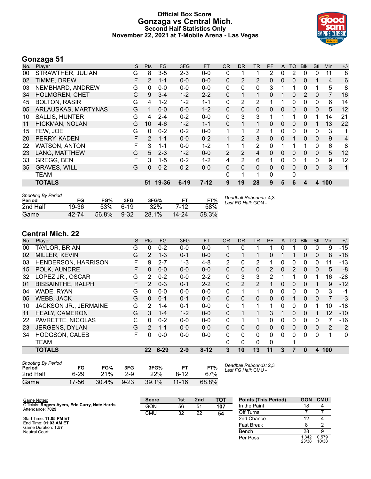#### **Official Box Score Gonzaga vs Central Mich. Second Half Statistics Only November 22, 2021 at T-Mobile Arena - Las Vegas**



#### **Gonzaga 51**

| No. | Player                | S | <b>Pts</b> | <b>FG</b> | 3FG      | <b>FT</b> | <b>OR</b>    | <b>DR</b>    | <b>TR</b>      | PF       | $\mathsf{A}$ | <b>TO</b>    | <b>Blk</b> | Stl          | <b>Min</b>     | $+/-$ |
|-----|-----------------------|---|------------|-----------|----------|-----------|--------------|--------------|----------------|----------|--------------|--------------|------------|--------------|----------------|-------|
| 00  | STRAWTHER, JULIAN     | G | 8          | $3-5$     | $2 - 3$  | $0-0$     | 0            |              |                | 2        | 0            | 2            | $\Omega$   | 0            | 11             | 8     |
| 02  | TIMME, DREW           | F | 2          | $1 - 1$   | $0 - 0$  | $0-0$     | $\Omega$     | 2            | 2              | $\Omega$ | 0            | $\mathbf{0}$ | $\Omega$   | 1            | 4              | 6     |
| 03  | NEMBHARD, ANDREW      | G | 0          | $0 - 0$   | $0 - 0$  | $0 - 0$   | 0            | $\mathbf{0}$ | $\mathbf{0}$   | 3        | 1            | 1            | 0          | 1            | 5              | 8     |
| 34  | <b>HOLMGREN, CHET</b> | C | 9          | $3 - 4$   | $1 - 2$  | $2 - 2$   | 0            | 1            | 1              | $\Omega$ |              | $\Omega$     | 2          | 0            | $\overline{7}$ | 16    |
| 45  | <b>BOLTON, RASIR</b>  | G | 4          | $1 - 2$   | $1 - 2$  | $1 - 1$   | 0            | 2            | 2              |          |              | $\Omega$     | 0          | 0            | 6              | 14    |
| 05  | ARLAUSKAS, MARTYNAS   | G |            | $0 - 0$   | $0 - 0$  | $1 - 2$   | 0            | 0            | $\mathbf{0}$   | 0        | 0            | 0            | 0          | 0            | 5              | 12    |
| 10  | <b>SALLIS, HUNTER</b> | G | 4          | $2 - 4$   | $0 - 2$  | $0-0$     | 0            | 3            | 3              |          |              |              | 0          | 1            | 14             | 21    |
| 11  | HICKMAN, NOLAN        | G | 10         | $4-6$     | $1 - 2$  | $1 - 1$   | $\Omega$     | 1            | 1              | $\Omega$ | 0            | $\Omega$     | $\Omega$   | 1            | 13             | 22    |
| 15  | FEW, JOE              | G | 0          | $0 - 2$   | $0 - 2$  | $0 - 0$   | 1            | 1            | 2              |          | 0            | 0            | 0          | 0            | 3              | 1     |
| 20  | PERRY, KADEN          | F | 2          | $1 - 1$   | $0 - 0$  | $0 - 2$   | $\mathbf{1}$ | 2            | 3              | $\Omega$ | 0            |              | $\Omega$   | $\Omega$     | 9              | 4     |
| 22  | <b>WATSON, ANTON</b>  | F | 3          | $1 - 1$   | $0-0$    | $1 - 2$   |              | 1            | $\overline{2}$ | 0        |              |              |            | 0            | 6              | 8     |
| 23  | LANG, MATTHEW         | G | 5          | $2 - 3$   | $1 - 2$  | $0 - 0$   | 2            | 2            | 4              | $\Omega$ | 0            | 0            | $\Omega$   | $\mathbf{0}$ | 5              | 12    |
| 33  | <b>GREGG, BEN</b>     | F | 3          | $1 - 5$   | $0 - 2$  | $1 - 2$   | 4            | 2            | 6              |          | 0            | 0            |            | 0            | 9              | 12    |
| 35  | <b>GRAVES, WILL</b>   | G | $\Omega$   | $0 - 2$   | $0 - 2$  | $0 - 0$   | $\Omega$     | $\Omega$     | $\Omega$       | $\Omega$ | $\Omega$     | $\Omega$     | $\Omega$   | $\Omega$     | 3              | 1     |
|     | TEAM                  |   |            |           |          |           | 0            | 1            | 1              | 0        |              | 0            |            |              |                |       |
|     | <b>TOTALS</b>         |   | 51         | 19-36     | $6 - 19$ | $7-12$    | 9            | 19           | 28             | 9        | 5            | 6            | 4          | 4            | 100            |       |

| <b>Shooting By Period</b><br>Period | FG    | FG%   | 3FG      | 3FG%  |         | FT%   | Deadball Rebounds: 4,3<br>Last FG Half: GON - |
|-------------------------------------|-------|-------|----------|-------|---------|-------|-----------------------------------------------|
| 2nd Half                            | 19-36 | .53%  | 6-19     | 32%   | 7-12    | 58%   |                                               |
| Game                                | 42-74 | 56.8% | $9 - 32$ | 28.1% | $14-24$ | 58.3% |                                               |

#### **Central Mich. 22**

| No. | Player                   | S | <b>Pts</b>      | FG       | 3FG     | <b>FT</b> | <b>OR</b>    | <b>DR</b> | TR             | PF            | A            | TO       | <b>Blk</b>   | Stl      | Min | $+/-$          |
|-----|--------------------------|---|-----------------|----------|---------|-----------|--------------|-----------|----------------|---------------|--------------|----------|--------------|----------|-----|----------------|
| 00  | TAYLOR, BRIAN            | G | 0               | $0 - 2$  | $0 - 0$ | $0 - 0$   | 1            | 0         |                |               | 0            |          | 0            | 0        | 9   | $-15$          |
| 02  | MILLER, KEVIN            | G | $\mathcal{P}$   | $1 - 3$  | $0 - 1$ | $0 - 0$   | $\Omega$     |           |                | 0             |              |          | 0            | 0        | 8   | $-18$          |
| 03  | HENDERSON, HARRISON      | F | 9               | $2 - 7$  | $1 - 3$ | $4 - 8$   | 2            | 0         | $\overline{2}$ |               | 0            | 0        | 0            | 0        | 11  | $-13$          |
| 15  | POLK, AUNDRE             | F | 0               | $0 - 0$  | $0 - 0$ | $0 - 0$   | $\Omega$     | 0         | 0              | $\mathcal{P}$ | $\mathbf{0}$ | 2        | $\Omega$     | 0        | 5   | -8             |
| 32  | LOPEZ JR., OSCAR         | G | 2               | $0 - 2$  | $0 - 0$ | $2 - 2$   | 0            | 3         | 3              | 2             | 1            | 1        | 0            |          | 16  | -28            |
| 01  | <b>BISSAINTHE, RALPH</b> | F | $\mathcal{P}$   | $0 - 3$  | $0 - 1$ | $2 - 2$   | $\mathbf{0}$ | 2         | $\overline{2}$ |               | 0            | 0        | $\Omega$     |          | 9   | $-12$          |
| 04  | WADE, RYAN               | G | 0               | $0 - 0$  | $0 - 0$ | $0 - 0$   | $\mathbf{0}$ | 1         | 1              | 0             | 0            | 0        | 0            | $\Omega$ | 3   | $-1$           |
| 05  | <b>WEBB, JACK</b>        | G | 0               | $0 - 1$  | $0 - 1$ | $0 - 0$   | $\Omega$     | 0         | $\mathbf{0}$   | 0             | $\Omega$     | 1        | 0            | $\Omega$ | 7   | $-3$           |
| 10  | JACKSON JR., JERMAINE    | G | 2               | $1 - 4$  | $0 - 1$ | $0 - 0$   | $\Omega$     | 1         | 1              |               | $\Omega$     | 0        | 0            |          | 10  | $-18$          |
| 11  | <b>HEALY, CAMERON</b>    | G | 3               | $1 - 4$  | $1 - 2$ | $0 - 0$   | $\mathbf{0}$ |           | 1.             | 3             |              | 0        | $\Omega$     |          | 12  | $-10$          |
| 22  | PAVRETTE, NICOLAS        | С | $\Omega$        | $0 - 2$  | $0 - 0$ | $0 - 0$   | $\mathbf{0}$ |           | 1.             | 0             | 0            | 0        | 0            | 0        |     | $-16$          |
| 23  | <b>JERGENS, DYLAN</b>    | G | $\mathcal{P}$   | $1 - 1$  | $0 - 0$ | $0 - 0$   | $\Omega$     | 0         | $\mathbf{0}$   | 0             | $\mathbf{0}$ | $\Omega$ | 0            | 0        | 2   | $\overline{2}$ |
| 34  | HODGSON, CALEB           | F | 0               | $0-0$    | $0 - 0$ | $0 - 0$   | 0            | 0         | $\Omega$       | 0             | $\Omega$     | 0        | 0            | $\Omega$ | 1   | $\mathbf{0}$   |
|     | <b>TEAM</b>              |   |                 |          |         |           | 0            | 0         | 0              | 0             |              |          |              |          |     |                |
|     | <b>TOTALS</b>            |   | 22 <sub>2</sub> | $6 - 29$ | $2 - 9$ | $8 - 12$  | 3            | 10        | 13             | 11            | 3            | 7        | $\mathbf{0}$ | 4        | 100 |                |
|     |                          |   |                 |          |         |           |              |           |                |               |              |          |              |          |     |                |

| <b>Shooting By Period</b><br>Period | FG       | FG%   | 3FG      | 3FG%  |           | FT%   |
|-------------------------------------|----------|-------|----------|-------|-----------|-------|
| 2nd Half                            | $6 - 29$ | 21%   | $2-9$    | 22%   | 8-12      | 67%   |
| Game                                | 17-56    | 30.4% | $9 - 23$ | 39.1% | $11 - 16$ | 68.8% |

*Deadball Rebounds:* 2,3 *Last FG Half:* CMU -

| Game Notes:                                                          | <b>Score</b> | 1st | 2 <sub>nd</sub> | <b>TOT</b> | <b>Points (This Period)</b> | <b>GON</b>     | <b>CMU</b>     |
|----------------------------------------------------------------------|--------------|-----|-----------------|------------|-----------------------------|----------------|----------------|
| Officials: Rogers Ayers, Eric Curry, Nate Harris<br>Attendance: 7029 | GON          | 56  | 51              | 107        | In the Paint                | 18             |                |
|                                                                      | <b>CMU</b>   | 32  | 22              | 54         | Off Turns                   |                |                |
| Start Time: 11:05 PM ET                                              |              |     |                 |            | 2nd Chance                  |                |                |
| End Time: 01:03 AM ET<br>Game Duration: 1:57                         |              |     |                 |            | <b>Fast Break</b>           |                |                |
| Neutral Court:                                                       |              |     |                 |            | Bench                       | 28             |                |
|                                                                      |              |     |                 |            | Per Poss                    | ' 342<br>23/38 | 0.579<br>10/38 |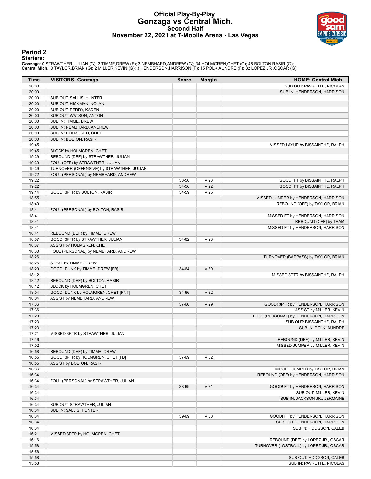#### **Official Play-By-Play Gonzaga vs Central Mich. Second Half November 22, 2021 at T-Mobile Arena - Las Vegas**



#### **Period 2**

#### **Starters:**

Gonzaga: 0 STRAWTHER,JULIAN (G); 2 TIMME,DREW (F); 3 NEMBHARD,ANDREW (G); 34 HOLMGREN,CHET (C); 45 BOLTON,RASIR (G);<br>Central Mich.: 0 TAYLOR,BRIAN (G); 2 MILLER,KEVIN (G); 3 HENDERSON,HARRISON (F); 15 POLK,AUNDRE (F); 32 L

| Time  | <b>VISITORS: Gonzaga</b>                  | <b>Score</b> | <b>Margin</b>   | <b>HOME: Central Mich.</b>              |
|-------|-------------------------------------------|--------------|-----------------|-----------------------------------------|
| 20:00 |                                           |              |                 | SUB OUT: PAVRETTE, NICOLAS              |
| 20:00 |                                           |              |                 | SUB IN: HENDERSON, HARRISON             |
| 20:00 | SUB OUT: SALLIS, HUNTER                   |              |                 |                                         |
| 20:00 | SUB OUT: HICKMAN, NOLAN                   |              |                 |                                         |
| 20:00 | SUB OUT: PERRY, KADEN                     |              |                 |                                         |
| 20:00 | SUB OUT: WATSON, ANTON                    |              |                 |                                         |
| 20:00 | SUB IN: TIMME, DREW                       |              |                 |                                         |
| 20:00 | SUB IN: NEMBHARD, ANDREW                  |              |                 |                                         |
| 20:00 | SUB IN: HOLMGREN, CHET                    |              |                 |                                         |
| 20:00 | SUB IN: BOLTON, RASIR                     |              |                 |                                         |
| 19:45 |                                           |              |                 | MISSED LAYUP by BISSAINTHE, RALPH       |
| 19:45 | BLOCK by HOLMGREN, CHET                   |              |                 |                                         |
| 19:39 | REBOUND (DEF) by STRAWTHER, JULIAN        |              |                 |                                         |
| 19:39 | FOUL (OFF) by STRAWTHER, JULIAN           |              |                 |                                         |
| 19:39 | TURNOVER (OFFENSIVE) by STRAWTHER, JULIAN |              |                 |                                         |
| 19:22 | FOUL (PERSONAL) by NEMBHARD, ANDREW       |              |                 |                                         |
| 19:22 |                                           | 33-56        | V <sub>23</sub> | GOOD! FT by BISSAINTHE, RALPH           |
| 19:22 |                                           | 34-56        | V <sub>22</sub> | GOOD! FT by BISSAINTHE, RALPH           |
| 19:14 | GOOD! 3PTR by BOLTON, RASIR               | 34-59        | V <sub>25</sub> |                                         |
| 18:55 |                                           |              |                 | MISSED JUMPER by HENDERSON, HARRISON    |
| 18:49 |                                           |              |                 | REBOUND (OFF) by TAYLOR, BRIAN          |
| 18:41 | FOUL (PERSONAL) by BOLTON, RASIR          |              |                 |                                         |
| 18:41 |                                           |              |                 | MISSED FT by HENDERSON, HARRISON        |
| 18:41 |                                           |              |                 | REBOUND (OFF) by TEAM                   |
| 18:41 |                                           |              |                 | MISSED FT by HENDERSON, HARRISON        |
| 18:41 | REBOUND (DEF) by TIMME, DREW              |              |                 |                                         |
| 18:37 | GOOD! 3PTR by STRAWTHER, JULIAN           | 34-62        | V <sub>28</sub> |                                         |
| 18:37 | ASSIST by HOLMGREN, CHET                  |              |                 |                                         |
| 18:30 | FOUL (PERSONAL) by NEMBHARD, ANDREW       |              |                 |                                         |
| 18:26 |                                           |              |                 | TURNOVER (BADPASS) by TAYLOR, BRIAN     |
| 18:26 | STEAL by TIMME, DREW                      |              |                 |                                         |
| 18:20 | GOOD! DUNK by TIMME, DREW [FB]            | 34-64        | V30             |                                         |
| 18:12 |                                           |              |                 | MISSED 3PTR by BISSAINTHE, RALPH        |
| 18:12 | REBOUND (DEF) by BOLTON, RASIR            |              |                 |                                         |
| 18:12 | BLOCK by HOLMGREN, CHET                   |              |                 |                                         |
| 18:04 | GOOD! DUNK by HOLMGREN, CHET [PNT]        | 34-66        | V <sub>32</sub> |                                         |
| 18:04 | ASSIST by NEMBHARD, ANDREW                |              |                 |                                         |
| 17:36 |                                           | 37-66        | V <sub>29</sub> | GOOD! 3PTR by HENDERSON, HARRISON       |
| 17:36 |                                           |              |                 | ASSIST by MILLER, KEVIN                 |
| 17:23 |                                           |              |                 | FOUL (PERSONAL) by HENDERSON, HARRISON  |
| 17:23 |                                           |              |                 | SUB OUT: BISSAINTHE, RALPH              |
| 17:23 |                                           |              |                 | SUB IN: POLK, AUNDRE                    |
| 17:21 | MISSED 3PTR by STRAWTHER, JULIAN          |              |                 |                                         |
| 17:16 |                                           |              |                 | REBOUND (DEF) by MILLER, KEVIN          |
| 17:02 |                                           |              |                 | MISSED JUMPER by MILLER, KEVIN          |
| 16:58 | REBOUND (DEF) by TIMME, DREW              |              |                 |                                         |
| 16:55 | GOOD! 3PTR by HOLMGREN, CHET [FB]         | 37-69        | V <sub>32</sub> |                                         |
| 16:55 | ASSIST by BOLTON, RASIR                   |              |                 |                                         |
| 16:36 |                                           |              |                 | MISSED JUMPER by TAYLOR, BRIAN          |
| 16:34 |                                           |              |                 | REBOUND (OFF) by HENDERSON, HARRISON    |
| 16:34 | FOUL (PERSONAL) by STRAWTHER, JULIAN      |              |                 |                                         |
| 16:34 |                                           | 38-69        | V <sub>31</sub> | GOOD! FT by HENDERSON, HARRISON         |
| 16:34 |                                           |              |                 | SUB OUT: MILLER, KEVIN                  |
| 16:34 |                                           |              |                 | SUB IN: JACKSON JR., JERMAINE           |
| 16:34 | SUB OUT: STRAWTHER, JULIAN                |              |                 |                                         |
| 16:34 | SUB IN: SALLIS, HUNTER                    |              |                 |                                         |
| 16:34 |                                           | 39-69        | V30             | GOOD! FT by HENDERSON, HARRISON         |
| 16:34 |                                           |              |                 | SUB OUT: HENDERSON, HARRISON            |
| 16:34 |                                           |              |                 | SUB IN: HODGSON, CALEB                  |
| 16:21 | MISSED 3PTR by HOLMGREN, CHET             |              |                 |                                         |
| 16:16 |                                           |              |                 | REBOUND (DEF) by LOPEZ JR., OSCAR       |
| 15:58 |                                           |              |                 | TURNOVER (LOSTBALL) by LOPEZ JR., OSCAR |
| 15:58 |                                           |              |                 |                                         |
| 15:58 |                                           |              |                 | SUB OUT: HODGSON, CALEB                 |
| 15:58 |                                           |              |                 | SUB IN: PAVRETTE, NICOLAS               |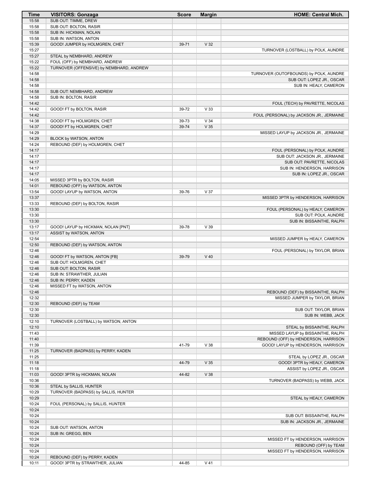| Time           | <b>VISITORS: Gonzaga</b>                                                   | <b>Score</b> | <b>Margin</b>   | <b>HOME: Central Mich.</b>               |
|----------------|----------------------------------------------------------------------------|--------------|-----------------|------------------------------------------|
| 15:58          | SUB OUT: TIMME, DREW                                                       |              |                 |                                          |
| 15:58          | SUB OUT: BOLTON, RASIR                                                     |              |                 |                                          |
| 15:58          | SUB IN: HICKMAN, NOLAN                                                     |              |                 |                                          |
| 15:58          | SUB IN: WATSON, ANTON                                                      |              |                 |                                          |
| 15:39          | GOOD! JUMPER by HOLMGREN, CHET                                             | 39-71        | V <sub>32</sub> |                                          |
| 15:27          |                                                                            |              |                 | TURNOVER (LOSTBALL) by POLK, AUNDRE      |
| 15:27<br>15:22 | STEAL by NEMBHARD, ANDREW                                                  |              |                 |                                          |
| 15:22          | FOUL (OFF) by NEMBHARD, ANDREW<br>TURNOVER (OFFENSIVE) by NEMBHARD, ANDREW |              |                 |                                          |
| 14:58          |                                                                            |              |                 | TURNOVER (OUTOFBOUNDS) by POLK, AUNDRE   |
| 14:58          |                                                                            |              |                 | SUB OUT: LOPEZ JR., OSCAR                |
| 14:58          |                                                                            |              |                 | SUB IN: HEALY, CAMERON                   |
| 14:58          | SUB OUT: NEMBHARD, ANDREW                                                  |              |                 |                                          |
| 14:58          | SUB IN: BOLTON, RASIR                                                      |              |                 |                                          |
| 14:42          |                                                                            |              |                 | FOUL (TECH) by PAVRETTE, NICOLAS         |
| 14:42          | GOOD! FT by BOLTON, RASIR                                                  | 39-72        | V <sub>33</sub> |                                          |
| 14:42          |                                                                            |              |                 | FOUL (PERSONAL) by JACKSON JR., JERMAINE |
| 14:38          | GOOD! FT by HOLMGREN, CHET                                                 | 39-73        | V34             |                                          |
| 14:37          | GOOD! FT by HOLMGREN, CHET                                                 | 39-74        | V <sub>35</sub> |                                          |
| 14:29          |                                                                            |              |                 | MISSED LAYUP by JACKSON JR., JERMAINE    |
| 14:29          | BLOCK by WATSON, ANTON                                                     |              |                 |                                          |
| 14:24          | REBOUND (DEF) by HOLMGREN, CHET                                            |              |                 |                                          |
| 14:17          |                                                                            |              |                 | FOUL (PERSONAL) by POLK, AUNDRE          |
| 14:17          |                                                                            |              |                 | SUB OUT: JACKSON JR., JERMAINE           |
| 14:17          |                                                                            |              |                 | SUB OUT: PAVRETTE, NICOLAS               |
| 14:17          |                                                                            |              |                 | SUB IN: HENDERSON, HARRISON              |
| 14:17          |                                                                            |              |                 | SUB IN: LOPEZ JR., OSCAR                 |
| 14:05          | MISSED 3PTR by BOLTON, RASIR                                               |              |                 |                                          |
| 14:01          | REBOUND (OFF) by WATSON, ANTON                                             |              |                 |                                          |
| 13:54          | GOOD! LAYUP by WATSON, ANTON                                               | 39-76        | V <sub>37</sub> |                                          |
| 13:37          |                                                                            |              |                 | MISSED 3PTR by HENDERSON, HARRISON       |
| 13:33          | REBOUND (DEF) by BOLTON, RASIR                                             |              |                 |                                          |
| 13:30          |                                                                            |              |                 | FOUL (PERSONAL) by HEALY, CAMERON        |
| 13:30          |                                                                            |              |                 | SUB OUT: POLK, AUNDRE                    |
| 13:30          |                                                                            |              |                 | SUB IN: BISSAINTHE, RALPH                |
| 13:17          | GOOD! LAYUP by HICKMAN, NOLAN [PNT]                                        | 39-78        | V39             |                                          |
| 13:17          | ASSIST by WATSON, ANTON                                                    |              |                 |                                          |
| 12:54          |                                                                            |              |                 | MISSED JUMPER by HEALY, CAMERON          |
| 12:50<br>12:46 | REBOUND (DEF) by WATSON, ANTON                                             |              |                 |                                          |
| 12:46          | GOOD! FT by WATSON, ANTON [FB]                                             | 39-79        | $V$ 40          | FOUL (PERSONAL) by TAYLOR, BRIAN         |
| 12:46          | SUB OUT: HOLMGREN, CHET                                                    |              |                 |                                          |
| 12:46          | SUB OUT: BOLTON, RASIR                                                     |              |                 |                                          |
| 12:46          | SUB IN: STRAWTHER, JULIAN                                                  |              |                 |                                          |
| 12:46          | SUB IN: PERRY, KADEN                                                       |              |                 |                                          |
| 12:46          | MISSED FT by WATSON, ANTON                                                 |              |                 |                                          |
| 12:46          |                                                                            |              |                 | REBOUND (DEF) by BISSAINTHE, RALPH       |
| 12:32          |                                                                            |              |                 | MISSED JUMPER by TAYLOR, BRIAN           |
| 12:30          | REBOUND (DEF) by TEAM                                                      |              |                 |                                          |
| 12:30          |                                                                            |              |                 | SUB OUT: TAYLOR, BRIAN                   |
| 12:30          |                                                                            |              |                 | SUB IN: WEBB, JACK                       |
| 12:10          | TURNOVER (LOSTBALL) by WATSON, ANTON                                       |              |                 |                                          |
| 12:10          |                                                                            |              |                 | STEAL by BISSAINTHE, RALPH               |
| 11:43          |                                                                            |              |                 | MISSED LAYUP by BISSAINTHE, RALPH        |
| 11:40          |                                                                            |              |                 | REBOUND (OFF) by HENDERSON, HARRISON     |
| 11:39          |                                                                            | 41-79        | V <sub>38</sub> | GOOD! LAYUP by HENDERSON, HARRISON       |
| 11:25          | TURNOVER (BADPASS) by PERRY, KADEN                                         |              |                 |                                          |
| 11:25          |                                                                            |              |                 | STEAL by LOPEZ JR., OSCAR                |
| 11:18          |                                                                            | 44-79        | V <sub>35</sub> | GOOD! 3PTR by HEALY, CAMERON             |
| 11:18          |                                                                            |              |                 | ASSIST by LOPEZ JR., OSCAR               |
| 11:03          | GOOD! 3PTR by HICKMAN, NOLAN                                               | 44-82        | V 38            |                                          |
| 10:36          |                                                                            |              |                 | TURNOVER (BADPASS) by WEBB, JACK         |
| 10:36          | STEAL by SALLIS, HUNTER                                                    |              |                 |                                          |
| 10:29          | TURNOVER (BADPASS) by SALLIS, HUNTER                                       |              |                 |                                          |
| 10:29          |                                                                            |              |                 | STEAL by HEALY, CAMERON                  |
| 10:24          | FOUL (PERSONAL) by SALLIS, HUNTER                                          |              |                 |                                          |
| 10:24          |                                                                            |              |                 |                                          |
| 10:24          |                                                                            |              |                 | SUB OUT: BISSAINTHE, RALPH               |
| 10:24<br>10:24 | SUB OUT: WATSON, ANTON                                                     |              |                 | SUB IN: JACKSON JR., JERMAINE            |
| 10:24          | SUB IN: GREGG, BEN                                                         |              |                 |                                          |
| 10:24          |                                                                            |              |                 | MISSED FT by HENDERSON, HARRISON         |
| 10:24          |                                                                            |              |                 | REBOUND (OFF) by TEAM                    |
| 10:24          |                                                                            |              |                 | MISSED FT by HENDERSON, HARRISON         |
| 10:24          | REBOUND (DEF) by PERRY, KADEN                                              |              |                 |                                          |
| 10:11          | GOOD! 3PTR by STRAWTHER, JULIAN                                            | 44-85        | $V$ 41          |                                          |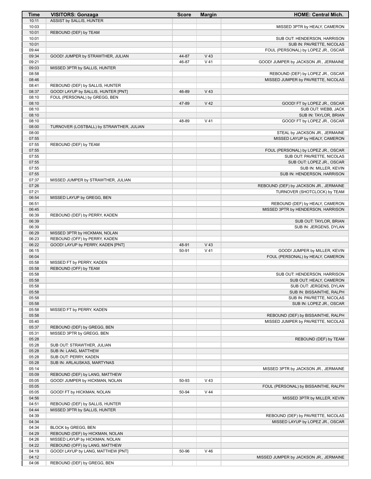| <b>Time</b>    | <b>VISITORS: Gonzaga</b>                                          | <b>Score</b> | <b>Margin</b> | <b>HOME: Central Mich.</b>                                         |
|----------------|-------------------------------------------------------------------|--------------|---------------|--------------------------------------------------------------------|
| 10:11          | ASSIST by SALLIS, HUNTER                                          |              |               |                                                                    |
| 10:03<br>10:01 | REBOUND (DEF) by TEAM                                             |              |               | MISSED 3PTR by HEALY, CAMERON                                      |
| 10:01          |                                                                   |              |               | SUB OUT: HENDERSON, HARRISON                                       |
| 10:01          |                                                                   |              |               | SUB IN: PAVRETTE, NICOLAS                                          |
| 09:44          |                                                                   |              |               | FOUL (PERSONAL) by LOPEZ JR., OSCAR                                |
| 09:34          | GOOD! JUMPER by STRAWTHER, JULIAN                                 | 44-87        | $V$ 43        |                                                                    |
| 09:21          |                                                                   | 46-87        | $V$ 41        | GOOD! JUMPER by JACKSON JR., JERMAINE                              |
| 09:03<br>08:58 | MISSED 3PTR by SALLIS, HUNTER                                     |              |               | REBOUND (DEF) by LOPEZ JR., OSCAR                                  |
| 08:46          |                                                                   |              |               | MISSED JUMPER by PAVRETTE, NICOLAS                                 |
| 08:41          | REBOUND (DEF) by SALLIS, HUNTER                                   |              |               |                                                                    |
| 08:37          | GOOD! LAYUP by SALLIS, HUNTER [PNT]                               | 46-89        | $V$ 43        |                                                                    |
| 08:10          | FOUL (PERSONAL) by GREGG, BEN                                     |              |               |                                                                    |
| 08:10<br>08:10 |                                                                   | 47-89        | $V$ 42        | GOOD! FT by LOPEZ JR., OSCAR<br>SUB OUT: WEBB, JACK                |
| 08:10          |                                                                   |              |               | SUB IN: TAYLOR, BRIAN                                              |
| 08:10          |                                                                   | 48-89        | $V$ 41        | GOOD! FT by LOPEZ JR., OSCAR                                       |
| 08:00          | TURNOVER (LOSTBALL) by STRAWTHER, JULIAN                          |              |               |                                                                    |
| 08:00          |                                                                   |              |               | STEAL by JACKSON JR., JERMAINE                                     |
| 07:55<br>07:55 | REBOUND (DEF) by TEAM                                             |              |               | MISSED LAYUP by HEALY, CAMERON                                     |
| 07:55          |                                                                   |              |               | FOUL (PERSONAL) by LOPEZ JR., OSCAR                                |
| 07:55          |                                                                   |              |               | SUB OUT: PAVRETTE, NICOLAS                                         |
| 07:55          |                                                                   |              |               | SUB OUT: LOPEZ JR., OSCAR                                          |
| 07:55          |                                                                   |              |               | SUB IN: MILLER, KEVIN                                              |
| 07:55          |                                                                   |              |               | SUB IN: HENDERSON, HARRISON                                        |
| 07:37<br>07:26 | MISSED JUMPER by STRAWTHER, JULIAN                                |              |               | REBOUND (DEF) by JACKSON JR., JERMAINE                             |
| 07:21          |                                                                   |              |               | TURNOVER (SHOTCLOCK) by TEAM                                       |
| 06:54          | MISSED LAYUP by GREGG, BEN                                        |              |               |                                                                    |
| 06:51          |                                                                   |              |               | REBOUND (DEF) by HEALY, CAMERON                                    |
| 06:45          |                                                                   |              |               | MISSED 3PTR by HENDERSON, HARRISON                                 |
| 06:39<br>06:39 | REBOUND (DEF) by PERRY, KADEN                                     |              |               | SUB OUT: TAYLOR, BRIAN                                             |
| 06:39          |                                                                   |              |               | SUB IN: JERGENS, DYLAN                                             |
| 06:29          | MISSED 3PTR by HICKMAN, NOLAN                                     |              |               |                                                                    |
| 06:23          | REBOUND (OFF) by PERRY, KADEN                                     |              |               |                                                                    |
| 06:22          | GOOD! LAYUP by PERRY, KADEN [PNT]                                 | 48-91        | $V$ 43        |                                                                    |
| 06:15<br>06:04 |                                                                   | 50-91        | $V$ 41        | GOOD! JUMPER by MILLER, KEVIN<br>FOUL (PERSONAL) by HEALY, CAMERON |
| 05:58          | MISSED FT by PERRY, KADEN                                         |              |               |                                                                    |
| 05:58          | REBOUND (OFF) by TEAM                                             |              |               |                                                                    |
| 05:58          |                                                                   |              |               | SUB OUT: HENDERSON, HARRISON                                       |
| 05:58          |                                                                   |              |               | SUB OUT: HEALY, CAMERON                                            |
| 05:58<br>05:58 |                                                                   |              |               | SUB OUT: JERGENS, DYLAN<br>SUB IN: BISSAINTHE, RALPH               |
| 05:58          |                                                                   |              |               | SUB IN: PAVRETTE, NICOLAS                                          |
| 05:58          |                                                                   |              |               | SUB IN: LOPEZ JR., OSCAR                                           |
| 05:58          | MISSED FT by PERRY, KADEN                                         |              |               |                                                                    |
| 05:58          |                                                                   |              |               | REBOUND (DEF) by BISSAINTHE, RALPH                                 |
| 05:40<br>05:37 | REBOUND (DEF) by GREGG, BEN                                       |              |               | MISSED JUMPER by PAVRETTE, NICOLAS                                 |
| 05:31          | MISSED 3PTR by GREGG, BEN                                         |              |               |                                                                    |
| 05:28          |                                                                   |              |               | REBOUND (DEF) by TEAM                                              |
| 05:28          | SUB OUT: STRAWTHER, JULIAN                                        |              |               |                                                                    |
| 05:28          | SUB IN: LANG, MATTHEW                                             |              |               |                                                                    |
| 05:28<br>05:28 | SUB OUT: PERRY, KADEN<br>SUB IN: ARLAUSKAS, MARTYNAS              |              |               |                                                                    |
| 05:14          |                                                                   |              |               | MISSED 3PTR by JACKSON JR., JERMAINE                               |
| 05:09          | REBOUND (DEF) by LANG, MATTHEW                                    |              |               |                                                                    |
| 05:05          | GOOD! JUMPER by HICKMAN, NOLAN                                    | 50-93        | $V$ 43        |                                                                    |
| 05:05          |                                                                   |              |               | FOUL (PERSONAL) by BISSAINTHE, RALPH                               |
| 05:05          | GOOD! FT by HICKMAN, NOLAN                                        | 50-94        | $V$ 44        |                                                                    |
| 04:56<br>04:51 | REBOUND (DEF) by SALLIS, HUNTER                                   |              |               | MISSED 3PTR by MILLER, KEVIN                                       |
| 04:44          | MISSED 3PTR by SALLIS, HUNTER                                     |              |               |                                                                    |
| 04:39          |                                                                   |              |               | REBOUND (DEF) by PAVRETTE, NICOLAS                                 |
| 04:34          |                                                                   |              |               | MISSED LAYUP by LOPEZ JR., OSCAR                                   |
| 04:34          | BLOCK by GREGG, BEN                                               |              |               |                                                                    |
| 04:29<br>04:26 | REBOUND (DEF) by HICKMAN, NOLAN<br>MISSED LAYUP by HICKMAN, NOLAN |              |               |                                                                    |
| 04:22          | REBOUND (OFF) by LANG, MATTHEW                                    |              |               |                                                                    |
| 04:19          | GOOD! LAYUP by LANG, MATTHEW [PNT]                                | 50-96        | $V$ 46        |                                                                    |
| 04:12          |                                                                   |              |               | MISSED JUMPER by JACKSON JR., JERMAINE                             |
| 04:06          | REBOUND (DEF) by GREGG, BEN                                       |              |               |                                                                    |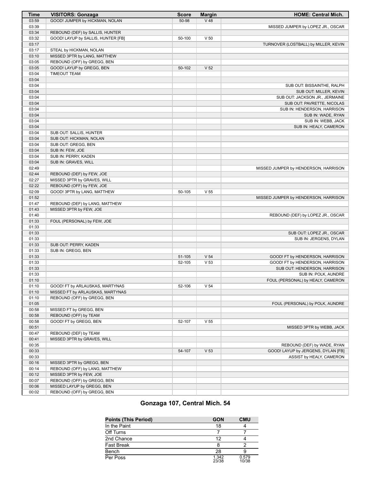| Time  | <b>VISITORS: Gonzaga</b>                         | <b>Score</b> | <b>Margin</b>   | <b>HOME: Central Mich.</b>           |
|-------|--------------------------------------------------|--------------|-----------------|--------------------------------------|
| 03:59 | GOOD! JUMPER by HICKMAN, NOLAN                   | 50-98        | $V$ 48          |                                      |
| 03:39 |                                                  |              |                 | MISSED JUMPER by LOPEZ JR., OSCAR    |
| 03:34 | REBOUND (DEF) by SALLIS, HUNTER                  |              |                 |                                      |
| 03:32 | GOOD! LAYUP by SALLIS, HUNTER [FB]               | 50-100       | V <sub>50</sub> |                                      |
| 03:17 |                                                  |              |                 | TURNOVER (LOSTBALL) by MILLER, KEVIN |
| 03:17 | STEAL by HICKMAN, NOLAN                          |              |                 |                                      |
| 03:10 | MISSED 3PTR by LANG, MATTHEW                     |              |                 |                                      |
| 03:05 | REBOUND (OFF) by GREGG, BEN                      |              |                 |                                      |
| 03:05 | GOOD! LAYUP by GREGG, BEN                        | 50-102       | V <sub>52</sub> |                                      |
| 03:04 | <b>TIMEOUT TEAM</b>                              |              |                 |                                      |
| 03:04 |                                                  |              |                 |                                      |
| 03:04 |                                                  |              |                 | SUB OUT: BISSAINTHE, RALPH           |
| 03:04 |                                                  |              |                 | SUB OUT: MILLER, KEVIN               |
| 03:04 |                                                  |              |                 | SUB OUT: JACKSON JR., JERMAINE       |
| 03:04 |                                                  |              |                 | SUB OUT: PAVRETTE, NICOLAS           |
| 03:04 |                                                  |              |                 |                                      |
|       |                                                  |              |                 | SUB IN: HENDERSON, HARRISON          |
| 03:04 |                                                  |              |                 | SUB IN: WADE, RYAN                   |
| 03:04 |                                                  |              |                 | SUB IN: WEBB, JACK                   |
| 03:04 |                                                  |              |                 | SUB IN: HEALY, CAMERON               |
| 03:04 | SUB OUT: SALLIS, HUNTER                          |              |                 |                                      |
| 03:04 | SUB OUT: HICKMAN, NOLAN                          |              |                 |                                      |
| 03:04 | SUB OUT: GREGG, BEN                              |              |                 |                                      |
| 03:04 | SUB IN: FEW, JOE                                 |              |                 |                                      |
| 03:04 | SUB IN: PERRY, KADEN                             |              |                 |                                      |
| 03:04 | SUB IN: GRAVES, WILL                             |              |                 |                                      |
| 02:49 |                                                  |              |                 | MISSED JUMPER by HENDERSON, HARRISON |
| 02:44 | REBOUND (DEF) by FEW, JOE                        |              |                 |                                      |
| 02:27 | MISSED 3PTR by GRAVES, WILL                      |              |                 |                                      |
| 02:22 | REBOUND (OFF) by FEW, JOE                        |              |                 |                                      |
| 02:09 | GOOD! 3PTR by LANG, MATTHEW                      | 50-105       | V <sub>55</sub> |                                      |
| 01:52 |                                                  |              |                 | MISSED JUMPER by HENDERSON, HARRISON |
| 01:47 | REBOUND (DEF) by LANG, MATTHEW                   |              |                 |                                      |
| 01:43 | MISSED 3PTR by FEW, JOE                          |              |                 |                                      |
| 01:40 |                                                  |              |                 | REBOUND (DEF) by LOPEZ JR., OSCAR    |
| 01:33 | FOUL (PERSONAL) by FEW, JOE                      |              |                 |                                      |
| 01:33 |                                                  |              |                 |                                      |
| 01:33 |                                                  |              |                 | SUB OUT: LOPEZ JR., OSCAR            |
| 01:33 |                                                  |              |                 | SUB IN: JERGENS, DYLAN               |
| 01:33 | SUB OUT: PERRY, KADEN                            |              |                 |                                      |
| 01:33 | SUB IN: GREGG, BEN                               |              |                 |                                      |
| 01:33 |                                                  | 51-105       | V <sub>54</sub> | GOOD! FT by HENDERSON, HARRISON      |
| 01:33 |                                                  | 52-105       | V <sub>53</sub> | GOOD! FT by HENDERSON, HARRISON      |
| 01:33 |                                                  |              |                 | SUB OUT: HENDERSON, HARRISON         |
| 01:33 |                                                  |              |                 | SUB IN: POLK, AUNDRE                 |
| 01:10 |                                                  |              |                 | FOUL (PERSONAL) by HEALY, CAMERON    |
| 01:10 | GOOD! FT by ARLAUSKAS, MARTYNAS                  | 52-106       | V <sub>54</sub> |                                      |
| 01:10 | MISSED FT by ARLAUSKAS, MARTYNAS                 |              |                 |                                      |
| 01:10 | REBOUND (OFF) by GREGG, BEN                      |              |                 |                                      |
| 01:05 |                                                  |              |                 |                                      |
|       |                                                  |              |                 | FOUL (PERSONAL) by POLK, AUNDRE      |
| 00:58 | MISSED FT by GREGG, BEN<br>REBOUND (OFF) by TEAM |              |                 |                                      |
| 00:58 |                                                  |              |                 |                                      |
| 00:58 | GOOD! FT by GREGG, BEN                           | 52-107       | V <sub>55</sub> |                                      |
| 00:51 |                                                  |              |                 | MISSED 3PTR by WEBB, JACK            |
| 00:47 | REBOUND (DEF) by TEAM                            |              |                 |                                      |
| 00:41 | MISSED 3PTR by GRAVES, WILL                      |              |                 |                                      |
| 00:35 |                                                  |              |                 | REBOUND (DEF) by WADE, RYAN          |
| 00:33 |                                                  | 54-107       | V <sub>53</sub> | GOOD! LAYUP by JERGENS, DYLAN [FB]   |
| 00:33 |                                                  |              |                 | ASSIST by HEALY, CAMERON             |
| 00:16 | MISSED 3PTR by GREGG, BEN                        |              |                 |                                      |
| 00:14 | REBOUND (OFF) by LANG, MATTHEW                   |              |                 |                                      |
| 00:12 | MISSED 3PTR by FEW, JOE                          |              |                 |                                      |
| 00:07 | REBOUND (OFF) by GREGG, BEN                      |              |                 |                                      |
| 00:06 | MISSED LAYUP by GREGG, BEN                       |              |                 |                                      |
| 00:02 | REBOUND (OFF) by GREGG, BEN                      |              |                 |                                      |
|       |                                                  |              |                 |                                      |

#### **Gonzaga 107, Central Mich. 54**

| <b>Points (This Period)</b> | <b>GON</b>     | <b>CMU</b>     |
|-----------------------------|----------------|----------------|
| In the Paint                | 18             |                |
| Off Turns                   |                |                |
| 2nd Chance                  | 12             |                |
| <b>Fast Break</b>           |                |                |
| Bench                       | 28             |                |
| Per Poss                    | 1.342<br>23/38 | 0.579<br>10/38 |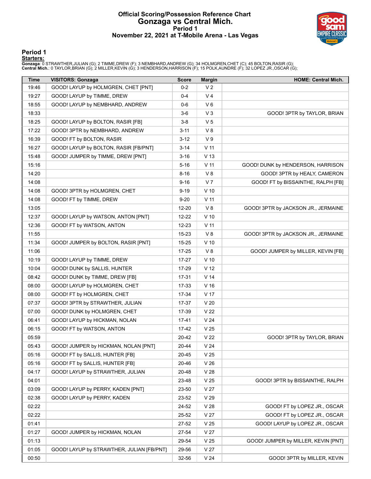#### **Official Scoring/Possession Reference Chart Gonzaga vs Central Mich. Period 1 November 22, 2021 at T-Mobile Arena - Las Vegas**



#### **Period 1**

#### **Starters:**

Gonzaga: 0 STRAWTHER,JULIAN (G); 2 TIMME,DREW (F); 3 NEMBHARD,ANDREW (G); 34 HOLMGREN,CHET (C); 45 BOLTON,RASIR (G);<br>Central Mich.: 0 TAYLOR,BRIAN (G); 2 MILLER,KEVIN (G); 3 HENDERSON,HARRISON (F); 15 POLK,AUNDRE (F); 32 L

| Time  | <b>VISITORS: Gonzaga</b>                  | <b>Score</b> | <b>Margin</b>   | <b>HOME: Central Mich.</b>          |
|-------|-------------------------------------------|--------------|-----------------|-------------------------------------|
| 19:46 | GOOD! LAYUP by HOLMGREN, CHET [PNT]       | $0 - 2$      | V <sub>2</sub>  |                                     |
| 19:27 | GOOD! LAYUP by TIMME, DREW                | $0 - 4$      | V <sub>4</sub>  |                                     |
| 18:55 | GOOD! LAYUP by NEMBHARD, ANDREW           | $0-6$        | $V_6$           |                                     |
| 18:33 |                                           | $3-6$        | $V_3$           | GOOD! 3PTR by TAYLOR, BRIAN         |
| 18:25 | GOOD! LAYUP by BOLTON, RASIR [FB]         | $3-8$        | V <sub>5</sub>  |                                     |
| 17:22 | GOOD! 3PTR by NEMBHARD, ANDREW            | $3 - 11$     | V8              |                                     |
| 16:39 | GOOD! FT by BOLTON, RASIR                 | $3-12$       | V <sub>9</sub>  |                                     |
| 16:27 | GOOD! LAYUP by BOLTON, RASIR [FB/PNT]     | $3 - 14$     | V <sub>11</sub> |                                     |
| 15:48 | GOOD! JUMPER by TIMME, DREW [PNT]         | $3 - 16$     | V <sub>13</sub> |                                     |
| 15:16 |                                           | $5 - 16$     | $V$ 11          | GOOD! DUNK by HENDERSON, HARRISON   |
| 14:20 |                                           | $8 - 16$     | V8              | GOOD! 3PTR by HEALY, CAMERON        |
| 14:08 |                                           | $9 - 16$     | V <sub>7</sub>  | GOOD! FT by BISSAINTHE, RALPH [FB]  |
| 14:08 | GOOD! 3PTR by HOLMGREN, CHET              | $9 - 19$     | $V$ 10          |                                     |
| 14:08 | GOOD! FT by TIMME, DREW                   | $9 - 20$     | $V$ 11          |                                     |
| 13:05 |                                           | 12-20        | V8              | GOOD! 3PTR by JACKSON JR., JERMAINE |
| 12:37 | GOOD! LAYUP by WATSON, ANTON [PNT]        | 12-22        | $V$ 10          |                                     |
| 12:36 | GOOD! FT by WATSON, ANTON                 | 12-23        | $V$ 11          |                                     |
| 11:55 |                                           | 15-23        | V8              | GOOD! 3PTR by JACKSON JR., JERMAINE |
| 11:34 | GOOD! JUMPER by BOLTON, RASIR [PNT]       | 15-25        | $V$ 10          |                                     |
| 11:06 |                                           | 17-25        | V8              | GOOD! JUMPER by MILLER, KEVIN [FB]  |
| 10:19 | GOOD! LAYUP by TIMME, DREW                | 17-27        | $V$ 10          |                                     |
| 10:04 | GOOD! DUNK by SALLIS, HUNTER              | 17-29        | V <sub>12</sub> |                                     |
| 08:42 | GOOD! DUNK by TIMME, DREW [FB]            | $17 - 31$    | V <sub>14</sub> |                                     |
| 08:00 | GOOD! LAYUP by HOLMGREN, CHET             | 17-33        | V <sub>16</sub> |                                     |
| 08:00 | GOOD! FT by HOLMGREN, CHET                | 17-34        | V 17            |                                     |
| 07:37 | GOOD! 3PTR by STRAWTHER, JULIAN           | 17-37        | V <sub>20</sub> |                                     |
| 07:00 | GOOD! DUNK by HOLMGREN, CHET              | 17-39        | V <sub>22</sub> |                                     |
| 06:41 | GOOD! LAYUP by HICKMAN, NOLAN             | 17-41        | V <sub>24</sub> |                                     |
| 06:15 | GOOD! FT by WATSON, ANTON                 | 17-42        | V <sub>25</sub> |                                     |
| 05:59 |                                           | 20-42        | V <sub>22</sub> | GOOD! 3PTR by TAYLOR, BRIAN         |
| 05:43 | GOOD! JUMPER by HICKMAN, NOLAN [PNT]      | 20-44        | V <sub>24</sub> |                                     |
| 05:16 | GOOD! FT by SALLIS, HUNTER [FB]           | 20-45        | V <sub>25</sub> |                                     |
| 05:16 | GOOD! FT by SALLIS, HUNTER [FB]           | 20-46        | V <sub>26</sub> |                                     |
| 04:17 | GOOD! LAYUP by STRAWTHER, JULIAN          | 20-48        | V <sub>28</sub> |                                     |
| 04:01 |                                           | 23-48        | V <sub>25</sub> | GOOD! 3PTR by BISSAINTHE, RALPH     |
| 03:09 | GOOD! LAYUP by PERRY, KADEN [PNT]         | 23-50        | V <sub>27</sub> |                                     |
| 02:38 | GOOD! LAYUP by PERRY, KADEN               | 23-52        | V <sub>29</sub> |                                     |
| 02:22 |                                           | 24-52        | V <sub>28</sub> | GOOD! FT by LOPEZ JR., OSCAR        |
| 02:22 |                                           | 25-52        | V <sub>27</sub> | GOOD! FT by LOPEZ JR., OSCAR        |
| 01:41 |                                           | 27-52        | V <sub>25</sub> | GOOD! LAYUP by LOPEZ JR., OSCAR     |
| 01:27 | GOOD! JUMPER by HICKMAN, NOLAN            | 27-54        | V <sub>27</sub> |                                     |
| 01:13 |                                           | 29-54        | V <sub>25</sub> | GOOD! JUMPER by MILLER, KEVIN [PNT] |
| 01:05 | GOOD! LAYUP by STRAWTHER, JULIAN [FB/PNT] | 29-56        | V <sub>27</sub> |                                     |
| 00:50 |                                           | 32-56        | V <sub>24</sub> | GOOD! 3PTR by MILLER, KEVIN         |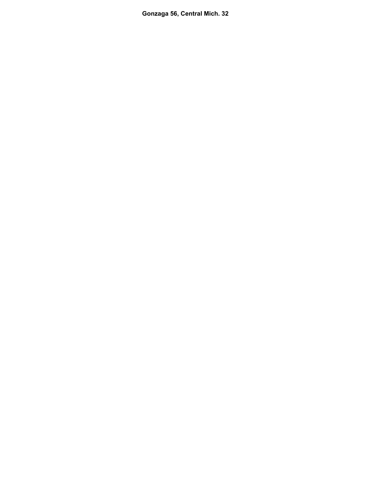**Gonzaga 56, Central Mich. 32**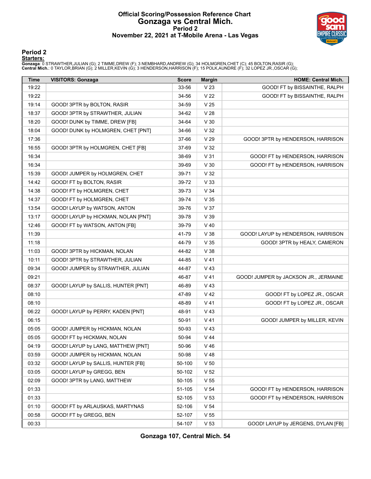#### **Official Scoring/Possession Reference Chart Gonzaga vs Central Mich. Period 2 November 22, 2021 at T-Mobile Arena - Las Vegas**



#### **Period 2**

#### **Starters:**

Gonzaga: 0 STRAWTHER,JULIAN (G); 2 TIMME,DREW (F); 3 NEMBHARD,ANDREW (G); 34 HOLMGREN,CHET (C); 45 BOLTON,RASIR (G);<br>Central Mich.: 0 TAYLOR,BRIAN (G); 2 MILLER,KEVIN (G); 3 HENDERSON,HARRISON (F); 15 POLK,AUNDRE (F); 32 L

| <b>Time</b> | <b>VISITORS: Gonzaga</b>            | <b>Score</b> | <b>Margin</b>   | <b>HOME: Central Mich.</b>            |
|-------------|-------------------------------------|--------------|-----------------|---------------------------------------|
| 19:22       |                                     | 33-56        | V <sub>23</sub> | GOOD! FT by BISSAINTHE, RALPH         |
| 19:22       |                                     | 34-56        | V <sub>22</sub> | GOOD! FT by BISSAINTHE, RALPH         |
| 19:14       | GOOD! 3PTR by BOLTON, RASIR         | 34-59        | V <sub>25</sub> |                                       |
| 18:37       | GOOD! 3PTR by STRAWTHER, JULIAN     | 34-62        | V <sub>28</sub> |                                       |
| 18:20       | GOOD! DUNK by TIMME, DREW [FB]      | 34-64        | V <sub>30</sub> |                                       |
| 18:04       | GOOD! DUNK by HOLMGREN, CHET [PNT]  | 34-66        | V <sub>32</sub> |                                       |
| 17:36       |                                     | 37-66        | V <sub>29</sub> | GOOD! 3PTR by HENDERSON, HARRISON     |
| 16:55       | GOOD! 3PTR by HOLMGREN, CHET [FB]   | 37-69        | V <sub>32</sub> |                                       |
| 16:34       |                                     | 38-69        | V <sub>31</sub> | GOOD! FT by HENDERSON, HARRISON       |
| 16:34       |                                     | 39-69        | V30             | GOOD! FT by HENDERSON, HARRISON       |
| 15:39       | GOOD! JUMPER by HOLMGREN, CHET      | 39-71        | V <sub>32</sub> |                                       |
| 14:42       | GOOD! FT by BOLTON, RASIR           | 39-72        | V <sub>33</sub> |                                       |
| 14:38       | GOOD! FT by HOLMGREN, CHET          | 39-73        | V <sub>34</sub> |                                       |
| 14:37       | GOOD! FT by HOLMGREN, CHET          | 39-74        | V <sub>35</sub> |                                       |
| 13:54       | GOOD! LAYUP by WATSON, ANTON        | 39-76        | V 37            |                                       |
| 13:17       | GOOD! LAYUP by HICKMAN, NOLAN [PNT] | 39-78        | V 39            |                                       |
| 12:46       | GOOD! FT by WATSON, ANTON [FB]      | 39-79        | $V$ 40          |                                       |
| 11:39       |                                     | 41-79        | V38             | GOOD! LAYUP by HENDERSON, HARRISON    |
| 11:18       |                                     | 44-79        | V <sub>35</sub> | GOOD! 3PTR by HEALY, CAMERON          |
| 11:03       | GOOD! 3PTR by HICKMAN, NOLAN        | 44-82        | V38             |                                       |
| 10:11       | GOOD! 3PTR by STRAWTHER, JULIAN     | 44-85        | $V$ 41          |                                       |
| 09:34       | GOOD! JUMPER by STRAWTHER, JULIAN   | 44-87        | $V$ 43          |                                       |
| 09:21       |                                     | 46-87        | $V$ 41          | GOOD! JUMPER by JACKSON JR., JERMAINE |
| 08:37       | GOOD! LAYUP by SALLIS, HUNTER [PNT] | 46-89        | $V$ 43          |                                       |
| 08:10       |                                     | 47-89        | V <sub>42</sub> | GOOD! FT by LOPEZ JR., OSCAR          |
| 08:10       |                                     | 48-89        | $V$ 41          | GOOD! FT by LOPEZ JR., OSCAR          |
| 06:22       | GOOD! LAYUP by PERRY, KADEN [PNT]   | 48-91        | V 43            |                                       |
| 06:15       |                                     | 50-91        | $V$ 41          | GOOD! JUMPER by MILLER, KEVIN         |
| 05:05       | GOOD! JUMPER by HICKMAN, NOLAN      | 50-93        | V <sub>43</sub> |                                       |
| 05:05       | GOOD! FT by HICKMAN, NOLAN          | 50-94        | $V$ 44          |                                       |
| 04:19       | GOOD! LAYUP by LANG, MATTHEW [PNT]  | 50-96        | $V$ 46          |                                       |
| 03:59       | GOOD! JUMPER by HICKMAN, NOLAN      | 50-98        | V 48            |                                       |
| 03:32       | GOOD! LAYUP by SALLIS, HUNTER [FB]  | 50-100       | V <sub>50</sub> |                                       |
| 03:05       | GOOD! LAYUP by GREGG, BEN           | 50-102       | V <sub>52</sub> |                                       |
| 02:09       | GOOD! 3PTR by LANG, MATTHEW         | 50-105       | V <sub>55</sub> |                                       |
| 01:33       |                                     | 51-105       | V <sub>54</sub> | GOOD! FT by HENDERSON, HARRISON       |
| 01:33       |                                     | 52-105       | V <sub>53</sub> | GOOD! FT by HENDERSON, HARRISON       |
| 01:10       | GOOD! FT by ARLAUSKAS, MARTYNAS     | 52-106       | V <sub>54</sub> |                                       |
| 00:58       | GOOD! FT by GREGG, BEN              | 52-107       | V <sub>55</sub> |                                       |
| 00:33       |                                     | 54-107       | V <sub>53</sub> | GOOD! LAYUP by JERGENS, DYLAN [FB]    |

**Gonzaga 107, Central Mich. 54**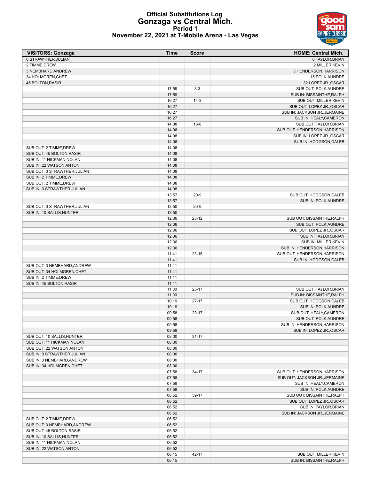#### **Official Substitutions Log Gonzaga vs Central Mich. Period 1 November 22, 2021 at T-Mobile Arena - Las Vegas**

| <b>VISITORS: Gonzaga</b>                                  | <b>Time</b>    | <b>Score</b> | <b>HOME: Central Mich.</b>     |
|-----------------------------------------------------------|----------------|--------------|--------------------------------|
| 0 STRAWTHER, JULIAN                                       |                |              | 0 TAYLOR, BRIAN                |
| 2 TIMME, DREW                                             |                |              | 2 MILLER, KEVIN                |
| 3 NEMBHARD, ANDREW                                        |                |              | 3 HENDERSON, HARRISON          |
| 34 HOLMGREN, CHET                                         |                |              | 15 POLK, AUNDRE                |
| <b>45 BOLTON, RASIR</b>                                   |                |              | 32 LOPEZ JR., OSCAR            |
|                                                           | 17:59          | $8-3$        | SUB OUT: POLK, AUNDRE          |
|                                                           | 17:59          |              | SUB IN: BISSAINTHE, RALPH      |
|                                                           | 16:27          | $14-3$       | SUB OUT: MILLER, KEVIN         |
|                                                           | 16:27          |              | SUB OUT: LOPEZ JR., OSCAR      |
|                                                           | 16:27          |              | SUB IN: JACKSON JR., JERMAINE  |
|                                                           | 16:27          |              | SUB IN: HEALY, CAMERON         |
|                                                           | 14:08          | $16 - 8$     | SUB OUT: TAYLOR, BRIAN         |
|                                                           | 14:08          |              | SUB OUT: HENDERSON, HARRISON   |
|                                                           | 14:08          |              | SUB IN: LOPEZ JR., OSCAR       |
|                                                           | 14:08          |              | SUB IN: HODGSON, CALEB         |
| SUB OUT: 2 TIMME, DREW                                    | 14:08          |              |                                |
| SUB OUT: 45 BOLTON, RASIR                                 | 14:08          |              |                                |
| SUB IN: 11 HICKMAN, NOLAN                                 | 14:08          |              |                                |
| SUB IN: 22 WATSON, ANTON                                  | 14:08          |              |                                |
| SUB OUT: 0 STRAWTHER, JULIAN                              | 14:08          |              |                                |
| SUB IN: 2 TIMME, DREW                                     | 14:08          |              |                                |
| SUB OUT: 2 TIMME, DREW<br>SUB IN: 0 STRAWTHER, JULIAN     | 14:08          |              |                                |
|                                                           | 14:08          | $20 - 9$     |                                |
|                                                           | 13:57<br>13:57 |              | SUB OUT: HODGSON, CALEB        |
|                                                           |                | $20 - 9$     | SUB IN: POLK, AUNDRE           |
| SUB OUT: 0 STRAWTHER, JULIAN<br>SUB IN: 10 SALLIS, HUNTER | 13:50          |              |                                |
|                                                           | 13:50<br>12:36 | $23 - 12$    | SUB OUT: BISSAINTHE, RALPH     |
|                                                           | 12:36          |              | SUB OUT: POLK, AUNDRE          |
|                                                           | 12:36          |              | SUB OUT: LOPEZ JR., OSCAR      |
|                                                           | 12:36          |              | SUB IN: TAYLOR, BRIAN          |
|                                                           | 12:36          |              | SUB IN: MILLER, KEVIN          |
|                                                           | 12:36          |              | SUB IN: HENDERSON, HARRISON    |
|                                                           | 11:41          | $23 - 15$    | SUB OUT: HENDERSON, HARRISON   |
|                                                           | 11:41          |              | SUB IN: HODGSON, CALEB         |
| SUB OUT: 3 NEMBHARD, ANDREW                               | 11:41          |              |                                |
| SUB OUT: 34 HOLMGREN, CHET                                | 11:41          |              |                                |
| SUB IN: 2 TIMME, DREW                                     | 11:41          |              |                                |
| SUB IN: 45 BOLTON, RASIR                                  | 11:41          |              |                                |
|                                                           | 11:00          | $25-17$      | SUB OUT: TAYLOR, BRIAN         |
|                                                           | 11:00          |              | SUB IN: BISSAINTHE, RALPH      |
|                                                           | 10:19          | $27-17$      | SUB OUT: HODGSON, CALEB        |
|                                                           | 10:19          |              | SUB IN: POLK, AUNDRE           |
|                                                           | 09:58          | 29-17        | SUB OUT: HEALY, CAMERON        |
|                                                           | 09:58          |              | SUB OUT: POLK, AUNDRE          |
|                                                           | 09:58          |              | SUB IN: HENDERSON, HARRISON    |
|                                                           | 09:58          |              | SUB IN: LOPEZ JR., OSCAR       |
| SUB OUT: 10 SALLIS, HUNTER                                | 08:00          | $31 - 17$    |                                |
| SUB OUT: 11 HICKMAN, NOLAN                                | 08:00          |              |                                |
| SUB OUT: 22 WATSON, ANTON                                 | 08:00          |              |                                |
| SUB IN: 0 STRAWTHER, JULIAN                               | 08:00          |              |                                |
| SUB IN: 3 NEMBHARD, ANDREW                                | 08:00          |              |                                |
| SUB IN: 34 HOLMGREN, CHET                                 | 08:00          |              |                                |
|                                                           | 07:58          | $34-17$      | SUB OUT: HENDERSON, HARRISON   |
|                                                           | 07:58          |              | SUB OUT: JACKSON JR., JERMAINE |
|                                                           | 07:58          |              | SUB IN: HEALY, CAMERON         |
|                                                           | 07:58          |              | SUB IN: POLK, AUNDRE           |
|                                                           | 06:52          | 39-17        | SUB OUT: BISSAINTHE, RALPH     |
|                                                           | 06:52          |              | SUB OUT: LOPEZ JR., OSCAR      |
|                                                           | 06:52          |              | SUB IN: TAYLOR, BRIAN          |
|                                                           | 06:52          |              | SUB IN: JACKSON JR., JERMAINE  |
| SUB OUT: 2 TIMME, DREW                                    | 06:52          |              |                                |
| SUB OUT: 3 NEMBHARD, ANDREW                               | 06:52          |              |                                |
| SUB OUT: 45 BOLTON, RASIR                                 | 06:52          |              |                                |
| SUB IN: 10 SALLIS, HUNTER                                 | 06:52          |              |                                |
| SUB IN: 11 HICKMAN, NOLAN                                 | 06:52          |              |                                |
| SUB IN: 22 WATSON, ANTON                                  | 06:52          |              |                                |
|                                                           | 06:15          | 42-17        | SUB OUT: MILLER, KEVIN         |
|                                                           | 06:15          |              | SUB IN: BISSAINTHE, RALPH      |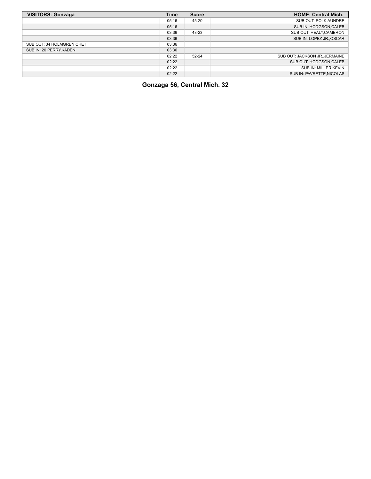| <b>VISITORS: Gonzaga</b>   | Time  | <b>Score</b> | <b>HOME: Central Mich.</b>     |
|----------------------------|-------|--------------|--------------------------------|
|                            | 05:16 | 45-20        | SUB OUT: POLK, AUNDRE          |
|                            | 05:16 |              | SUB IN: HODGSON, CALEB         |
|                            | 03:36 | 48-23        | SUB OUT: HEALY, CAMERON        |
|                            | 03:36 |              | SUB IN: LOPEZ JR., OSCAR       |
| SUB OUT: 34 HOLMGREN, CHET | 03:36 |              |                                |
| SUB IN: 20 PERRY, KADEN    | 03:36 |              |                                |
|                            | 02:22 | $52 - 24$    | SUB OUT: JACKSON JR., JERMAINE |
|                            | 02:22 |              | SUB OUT: HODGSON, CALEB        |
|                            | 02:22 |              | SUB IN: MILLER.KEVIN           |
|                            | 02:22 |              | SUB IN: PAVRETTE, NICOLAS      |

**Gonzaga 56, Central Mich. 32**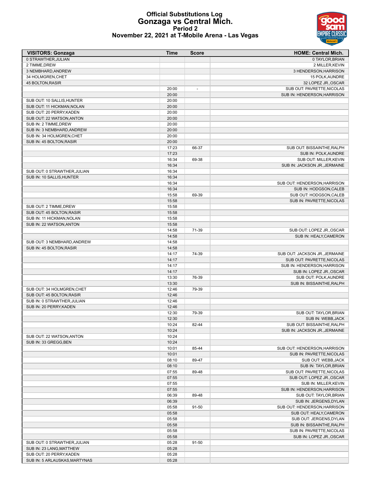#### **Official Substitutions Log Gonzaga vs Central Mich. Period 2 November 22, 2021 at T-Mobile Arena - Las Vegas**

| <b>VISITORS: Gonzaga</b>                           | <b>Time</b>    | <b>Score</b> | <b>HOME: Central Mich.</b>                             |
|----------------------------------------------------|----------------|--------------|--------------------------------------------------------|
| 0 STRAWTHER, JULIAN                                |                |              | 0 TAYLOR, BRIAN                                        |
| 2 TIMME, DREW                                      |                |              | 2 MILLER, KEVIN                                        |
| 3 NEMBHARD, ANDREW                                 |                |              | 3 HENDERSON, HARRISON                                  |
| 34 HOLMGREN, CHET                                  |                |              | 15 POLK, AUNDRE                                        |
| 45 BOLTON, RASIR                                   |                |              | 32 LOPEZ JR., OSCAR                                    |
|                                                    | 20:00          | ÷,           | SUB OUT: PAVRETTE, NICOLAS                             |
|                                                    | 20:00          |              | SUB IN: HENDERSON, HARRISON                            |
| SUB OUT: 10 SALLIS, HUNTER                         | 20:00          |              |                                                        |
| SUB OUT: 11 HICKMAN, NOLAN                         | 20:00          |              |                                                        |
| SUB OUT: 20 PERRY, KADEN                           | 20:00<br>20:00 |              |                                                        |
| SUB OUT: 22 WATSON, ANTON<br>SUB IN: 2 TIMME, DREW | 20:00          |              |                                                        |
| SUB IN: 3 NEMBHARD, ANDREW                         | 20:00          |              |                                                        |
| SUB IN: 34 HOLMGREN, CHET                          | 20:00          |              |                                                        |
| SUB IN: 45 BOLTON, RASIR                           | 20:00          |              |                                                        |
|                                                    | 17:23          | 66-37        | SUB OUT: BISSAINTHE, RALPH                             |
|                                                    | 17:23          |              | SUB IN: POLK, AUNDRE                                   |
|                                                    | 16:34          | 69-38        | SUB OUT: MILLER, KEVIN                                 |
|                                                    | 16:34          |              | SUB IN: JACKSON JR., JERMAINE                          |
| SUB OUT: 0 STRAWTHER.JULIAN                        | 16:34          |              |                                                        |
| SUB IN: 10 SALLIS, HUNTER                          | 16:34          |              |                                                        |
|                                                    | 16:34          |              | SUB OUT: HENDERSON, HARRISON                           |
|                                                    | 16:34          |              | SUB IN: HODGSON, CALEB                                 |
|                                                    | 15:58          | 69-39        | SUB OUT: HODGSON, CALEB                                |
|                                                    | 15:58          |              | SUB IN: PAVRETTE, NICOLAS                              |
| SUB OUT: 2 TIMME.DREW                              | 15:58          |              |                                                        |
| SUB OUT: 45 BOLTON, RASIR                          | 15:58          |              |                                                        |
| SUB IN: 11 HICKMAN, NOLAN                          | 15:58          |              |                                                        |
| SUB IN: 22 WATSON, ANTON                           | 15:58          |              |                                                        |
|                                                    | 14:58          | 71-39        | SUB OUT: LOPEZ JR., OSCAR                              |
|                                                    | 14:58          |              | SUB IN: HEALY, CAMERON                                 |
| SUB OUT: 3 NEMBHARD, ANDREW                        | 14:58          |              |                                                        |
| SUB IN: 45 BOLTON, RASIR                           | 14:58          |              |                                                        |
|                                                    | 14:17          | 74-39        | SUB OUT: JACKSON JR., JERMAINE                         |
|                                                    | 14:17          |              | SUB OUT: PAVRETTE, NICOLAS                             |
|                                                    | 14:17          |              | SUB IN: HENDERSON, HARRISON                            |
|                                                    | 14:17<br>13:30 | 76-39        | SUB IN: LOPEZ JR., OSCAR<br>SUB OUT: POLK, AUNDRE      |
|                                                    | 13:30          |              | SUB IN: BISSAINTHE, RALPH                              |
| SUB OUT: 34 HOLMGREN, CHET                         | 12:46          | 79-39        |                                                        |
| SUB OUT: 45 BOLTON, RASIR                          | 12:46          |              |                                                        |
| SUB IN: 0 STRAWTHER, JULIAN                        | 12:46          |              |                                                        |
| SUB IN: 20 PERRY, KADEN                            | 12:46          |              |                                                        |
|                                                    | 12:30          | 79-39        | SUB OUT: TAYLOR, BRIAN                                 |
|                                                    | 12:30          |              | SUB IN: WEBB, JACK                                     |
|                                                    | 10:24          | 82-44        | SUB OUT: BISSAINTHE, RALPH                             |
|                                                    | 10:24          |              | SUB IN: JACKSON JR., JERMAINE                          |
| SUB OUT: 22 WATSON, ANTON                          | 10:24          |              |                                                        |
| SUB IN: 33 GREGG.BEN                               | 10:24          |              |                                                        |
|                                                    | 10:01          | 85-44        | SUB OUT: HENDERSON, HARRISON                           |
|                                                    | 10:01          |              | SUB IN: PAVRETTE, NICOLAS                              |
|                                                    | 08:10          | 89-47        | SUB OUT: WEBB, JACK                                    |
|                                                    | 08:10          |              | SUB IN: TAYLOR, BRIAN                                  |
|                                                    | 07:55          | 89-48        | SUB OUT: PAVRETTE, NICOLAS                             |
|                                                    | 07:55          |              | SUB OUT: LOPEZ JR., OSCAR                              |
|                                                    | 07:55          |              | SUB IN: MILLER, KEVIN                                  |
|                                                    | 07:55          |              | SUB IN: HENDERSON, HARRISON                            |
|                                                    | 06:39          | 89-48        | SUB OUT: TAYLOR, BRIAN                                 |
|                                                    | 06:39          |              | SUB IN: JERGENS, DYLAN                                 |
|                                                    | 05:58          | 91-50        | SUB OUT: HENDERSON, HARRISON                           |
|                                                    | 05:58          |              | SUB OUT: HEALY, CAMERON                                |
|                                                    | 05:58          |              | SUB OUT: JERGENS, DYLAN                                |
|                                                    | 05:58<br>05:58 |              | SUB IN: BISSAINTHE, RALPH<br>SUB IN: PAVRETTE, NICOLAS |
|                                                    | 05:58          |              | SUB IN: LOPEZ JR., OSCAR                               |
| SUB OUT: 0 STRAWTHER, JULIAN                       | 05:28          | 91-50        |                                                        |
| SUB IN: 23 LANG, MATTHEW                           | 05:28          |              |                                                        |
| SUB OUT: 20 PERRY, KADEN                           | 05:28          |              |                                                        |
| SUB IN: 5 ARLAUSKAS, MARTYNAS                      | 05:28          |              |                                                        |
|                                                    |                |              |                                                        |